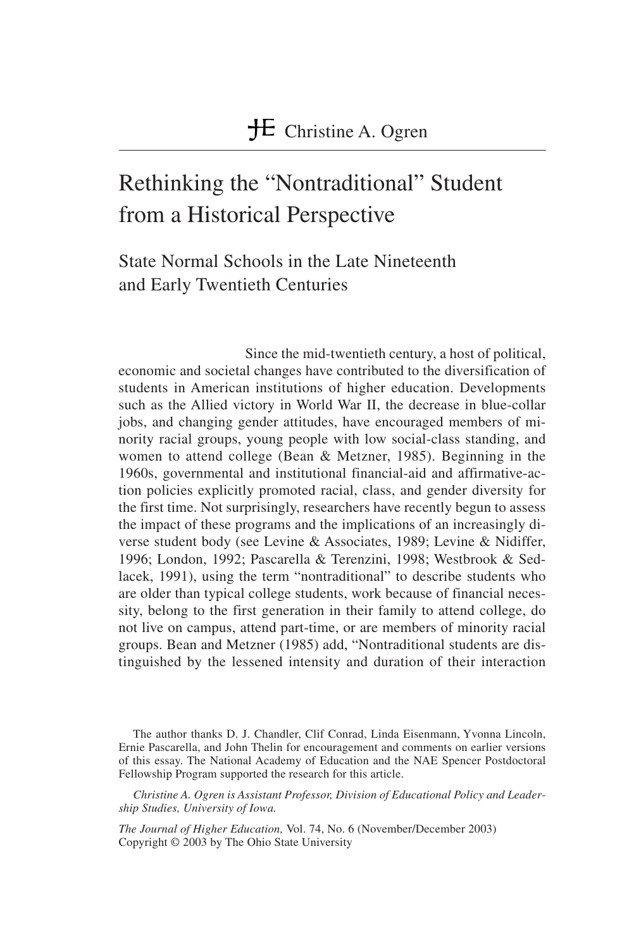# Rethinking the "Nontraditional" Student from a Historical Perspective

State Normal Schools in the Late Nineteenth and Early Twentieth Centuries

Since the mid-twentieth century, a host of political, economic and societal changes have contributed to the diversification of students in American institutions of higher education. Developments such as the Allied victory in World War II, the decrease in blue-collar jobs, and changing gender attitudes, have encouraged members of minority racial groups, young people with low social-class standing, and women to attend college (Bean & Metzner, 1985). Beginning in the 1960s, governmental and institutional financial-aid and affirmative-action policies explicitly promoted racial, class, and gender diversity for the first time. Not surprisingly, researchers have recently begun to assess the impact of these programs and the implications of an increasingly diverse student body (see Levine & Associates, 1989; Levine & Nidiffer, 1996; London, 1992; Pascarella & Terenzini, 1998; Westbrook & Sedlacek, 1991), using the term "nontraditional" to describe students who are older than typical college students, work because of financial necessity, belong to the first generation in their family to attend college, do not live on campus, attend part-time, or are members of minority racial groups. Bean and Metzner (1985) add, "Nontraditional students are distinguished by the lessened intensity and duration of their interaction

*Christine A. Ogren is Assistant Professor, Division of Educational Policy and Leadership Studies, University of Iowa.*

The author thanks D. J. Chandler, Clif Conrad, Linda Eisenmann, Yvonna Lincoln, Ernie Pascarella, and John Thelin for encouragement and comments on earlier versions of this essay. The National Academy of Education and the NAE Spencer Postdoctoral Fellowship Program supported the research for this article.

*The Journal of Higher Education,* Vol. 74, No. 6 (November/December 2003) Copyright © 2003 by The Ohio State University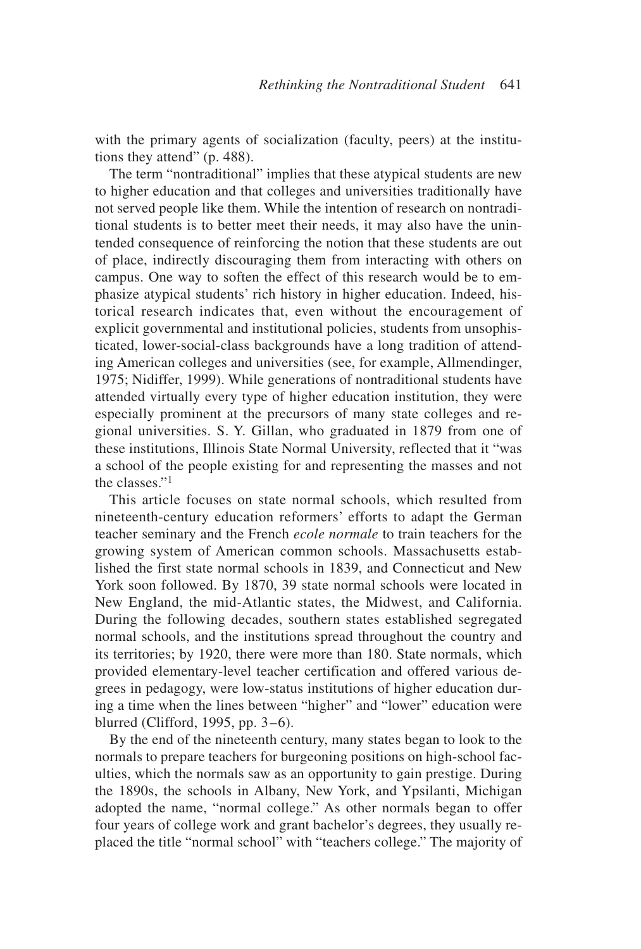with the primary agents of socialization (faculty, peers) at the institutions they attend" (p. 488).

The term "nontraditional" implies that these atypical students are new to higher education and that colleges and universities traditionally have not served people like them. While the intention of research on nontraditional students is to better meet their needs, it may also have the unintended consequence of reinforcing the notion that these students are out of place, indirectly discouraging them from interacting with others on campus. One way to soften the effect of this research would be to emphasize atypical students' rich history in higher education. Indeed, historical research indicates that, even without the encouragement of explicit governmental and institutional policies, students from unsophisticated, lower-social-class backgrounds have a long tradition of attending American colleges and universities (see, for example, Allmendinger, 1975; Nidiffer, 1999). While generations of nontraditional students have attended virtually every type of higher education institution, they were especially prominent at the precursors of many state colleges and regional universities. S. Y. Gillan, who graduated in 1879 from one of these institutions, Illinois State Normal University, reflected that it "was a school of the people existing for and representing the masses and not the classes."1

This article focuses on state normal schools, which resulted from nineteenth-century education reformers' efforts to adapt the German teacher seminary and the French *ecole normale* to train teachers for the growing system of American common schools. Massachusetts established the first state normal schools in 1839, and Connecticut and New York soon followed. By 1870, 39 state normal schools were located in New England, the mid-Atlantic states, the Midwest, and California. During the following decades, southern states established segregated normal schools, and the institutions spread throughout the country and its territories; by 1920, there were more than 180. State normals, which provided elementary-level teacher certification and offered various degrees in pedagogy, were low-status institutions of higher education during a time when the lines between "higher" and "lower" education were blurred (Clifford, 1995, pp. 3–6).

By the end of the nineteenth century, many states began to look to the normals to prepare teachers for burgeoning positions on high-school faculties, which the normals saw as an opportunity to gain prestige. During the 1890s, the schools in Albany, New York, and Ypsilanti, Michigan adopted the name, "normal college." As other normals began to offer four years of college work and grant bachelor's degrees, they usually replaced the title "normal school" with "teachers college." The majority of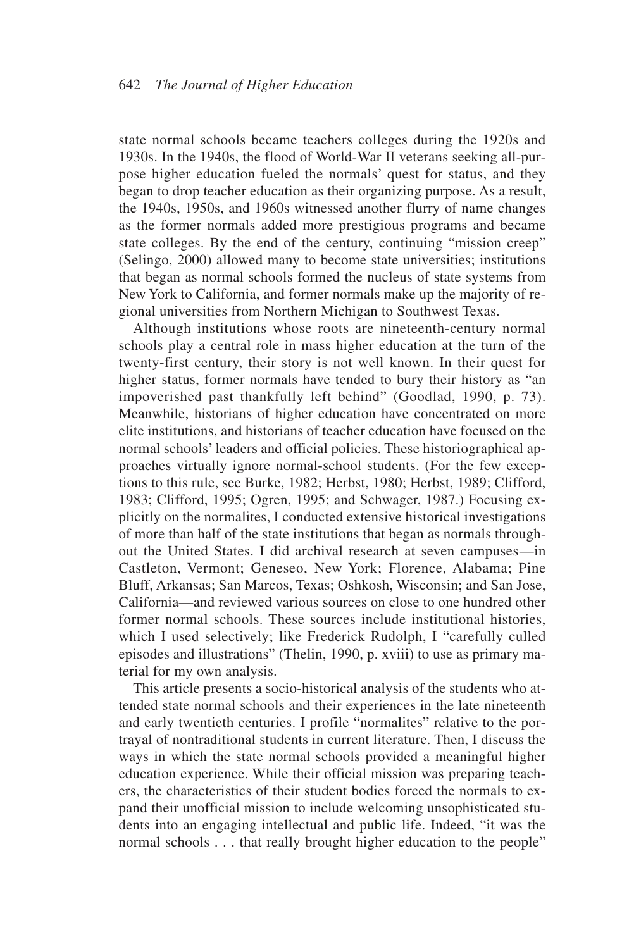state normal schools became teachers colleges during the 1920s and 1930s. In the 1940s, the flood of World-War II veterans seeking all-purpose higher education fueled the normals' quest for status, and they began to drop teacher education as their organizing purpose. As a result, the 1940s, 1950s, and 1960s witnessed another flurry of name changes as the former normals added more prestigious programs and became state colleges. By the end of the century, continuing "mission creep" (Selingo, 2000) allowed many to become state universities; institutions that began as normal schools formed the nucleus of state systems from New York to California, and former normals make up the majority of regional universities from Northern Michigan to Southwest Texas.

Although institutions whose roots are nineteenth-century normal schools play a central role in mass higher education at the turn of the twenty-first century, their story is not well known. In their quest for higher status, former normals have tended to bury their history as "an impoverished past thankfully left behind" (Goodlad, 1990, p. 73). Meanwhile, historians of higher education have concentrated on more elite institutions, and historians of teacher education have focused on the normal schools'leaders and official policies. These historiographical approaches virtually ignore normal-school students. (For the few exceptions to this rule, see Burke, 1982; Herbst, 1980; Herbst, 1989; Clifford, 1983; Clifford, 1995; Ogren, 1995; and Schwager, 1987.) Focusing explicitly on the normalites, I conducted extensive historical investigations of more than half of the state institutions that began as normals throughout the United States. I did archival research at seven campuses—in Castleton, Vermont; Geneseo, New York; Florence, Alabama; Pine Bluff, Arkansas; San Marcos, Texas; Oshkosh, Wisconsin; and San Jose, California—and reviewed various sources on close to one hundred other former normal schools. These sources include institutional histories, which I used selectively; like Frederick Rudolph, I "carefully culled episodes and illustrations" (Thelin, 1990, p. xviii) to use as primary material for my own analysis.

This article presents a socio-historical analysis of the students who attended state normal schools and their experiences in the late nineteenth and early twentieth centuries. I profile "normalites" relative to the portrayal of nontraditional students in current literature. Then, I discuss the ways in which the state normal schools provided a meaningful higher education experience. While their official mission was preparing teachers, the characteristics of their student bodies forced the normals to expand their unofficial mission to include welcoming unsophisticated students into an engaging intellectual and public life. Indeed, "it was the normal schools . . . that really brought higher education to the people"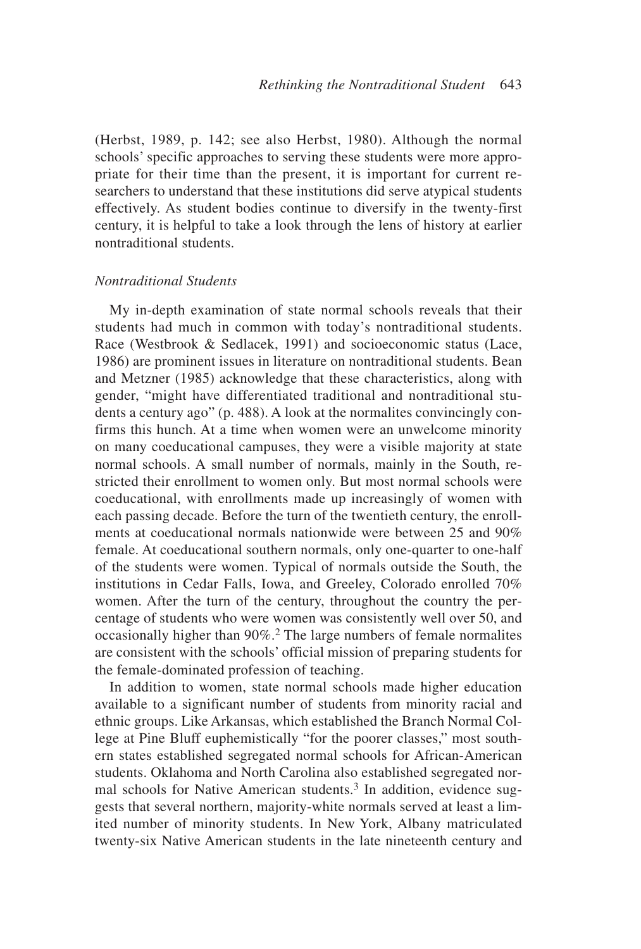(Herbst, 1989, p. 142; see also Herbst, 1980). Although the normal schools' specific approaches to serving these students were more appropriate for their time than the present, it is important for current researchers to understand that these institutions did serve atypical students effectively. As student bodies continue to diversify in the twenty-first century, it is helpful to take a look through the lens of history at earlier nontraditional students.

## *Nontraditional Students*

My in-depth examination of state normal schools reveals that their students had much in common with today's nontraditional students. Race (Westbrook & Sedlacek, 1991) and socioeconomic status (Lace, 1986) are prominent issues in literature on nontraditional students. Bean and Metzner (1985) acknowledge that these characteristics, along with gender, "might have differentiated traditional and nontraditional students a century ago" (p. 488). A look at the normalites convincingly confirms this hunch. At a time when women were an unwelcome minority on many coeducational campuses, they were a visible majority at state normal schools. A small number of normals, mainly in the South, restricted their enrollment to women only. But most normal schools were coeducational, with enrollments made up increasingly of women with each passing decade. Before the turn of the twentieth century, the enrollments at coeducational normals nationwide were between 25 and 90% female. At coeducational southern normals, only one-quarter to one-half of the students were women. Typical of normals outside the South, the institutions in Cedar Falls, Iowa, and Greeley, Colorado enrolled 70% women. After the turn of the century, throughout the country the percentage of students who were women was consistently well over 50, and occasionally higher than 90%. <sup>2</sup> The large numbers of female normalites are consistent with the schools' official mission of preparing students for the female-dominated profession of teaching.

In addition to women, state normal schools made higher education available to a significant number of students from minority racial and ethnic groups. Like Arkansas, which established the Branch Normal College at Pine Bluff euphemistically "for the poorer classes," most southern states established segregated normal schools for African-American students. Oklahoma and North Carolina also established segregated normal schools for Native American students. <sup>3</sup> In addition, evidence suggests that several northern, majority-white normals served at least a limited number of minority students. In New York, Albany matriculated twenty-six Native American students in the late nineteenth century and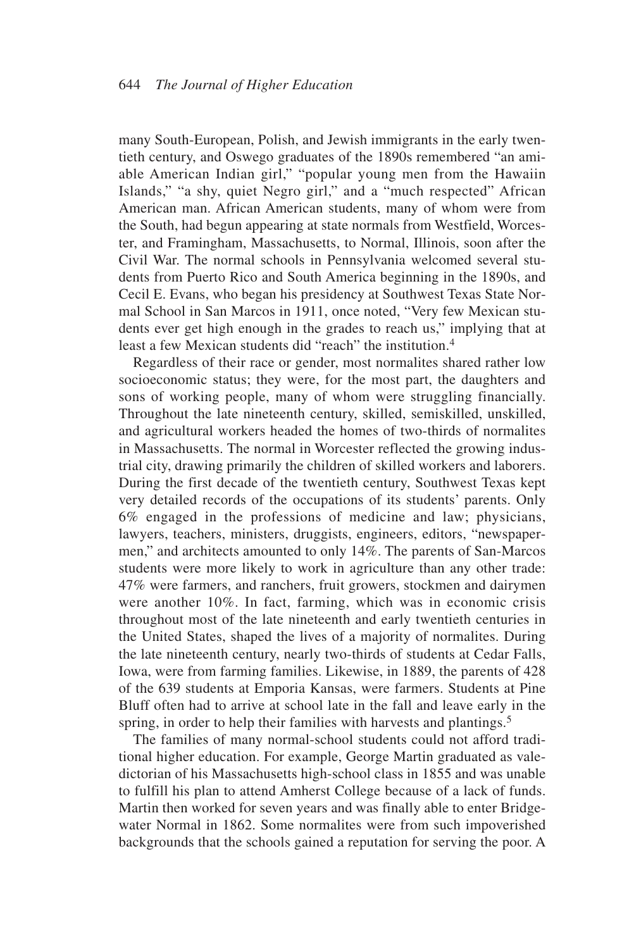many South-European, Polish, and Jewish immigrants in the early twentieth century, and Oswego graduates of the 1890s remembered "an amiable American Indian girl," "popular young men from the Hawaiin Islands," "a shy, quiet Negro girl," and a "much respected" African American man. African American students, many of whom were from the South, had begun appearing at state normals from Westfield, Worcester, and Framingham, Massachusetts, to Normal, Illinois, soon after the Civil War. The normal schools in Pennsylvania welcomed several students from Puerto Rico and South America beginning in the 1890s, and Cecil E. Evans, who began his presidency at Southwest Texas State Normal School in San Marcos in 1911, once noted, "Very few Mexican students ever get high enough in the grades to reach us," implying that at least a few Mexican students did "reach" the institution. 4

Regardless of their race or gender, most normalites shared rather low socioeconomic status; they were, for the most part, the daughters and sons of working people, many of whom were struggling financially. Throughout the late nineteenth century, skilled, semiskilled, unskilled, and agricultural workers headed the homes of two-thirds of normalites in Massachusetts. The normal in Worcester reflected the growing industrial city, drawing primarily the children of skilled workers and laborers. During the first decade of the twentieth century, Southwest Texas kept very detailed records of the occupations of its students' parents. Only 6% engaged in the professions of medicine and law; physicians, lawyers, teachers, ministers, druggists, engineers, editors, "newspapermen," and architects amounted to only 14%. The parents of San-Marcos students were more likely to work in agriculture than any other trade: 47% were farmers, and ranchers, fruit growers, stockmen and dairymen were another 10%. In fact, farming, which was in economic crisis throughout most of the late nineteenth and early twentieth centuries in the United States, shaped the lives of a majority of normalites. During the late nineteenth century, nearly two-thirds of students at Cedar Falls, Iowa, were from farming families. Likewise, in 1889, the parents of 428 of the 639 students at Emporia Kansas, were farmers. Students at Pine Bluff often had to arrive at school late in the fall and leave early in the spring, in order to help their families with harvests and plantings.<sup>5</sup>

The families of many normal-school students could not afford traditional higher education. For example, George Martin graduated as valedictorian of his Massachusetts high-school class in 1855 and was unable to fulfill his plan to attend Amherst College because of a lack of funds. Martin then worked for seven years and was finally able to enter Bridgewater Normal in 1862. Some normalites were from such impoverished backgrounds that the schools gained a reputation for serving the poor. A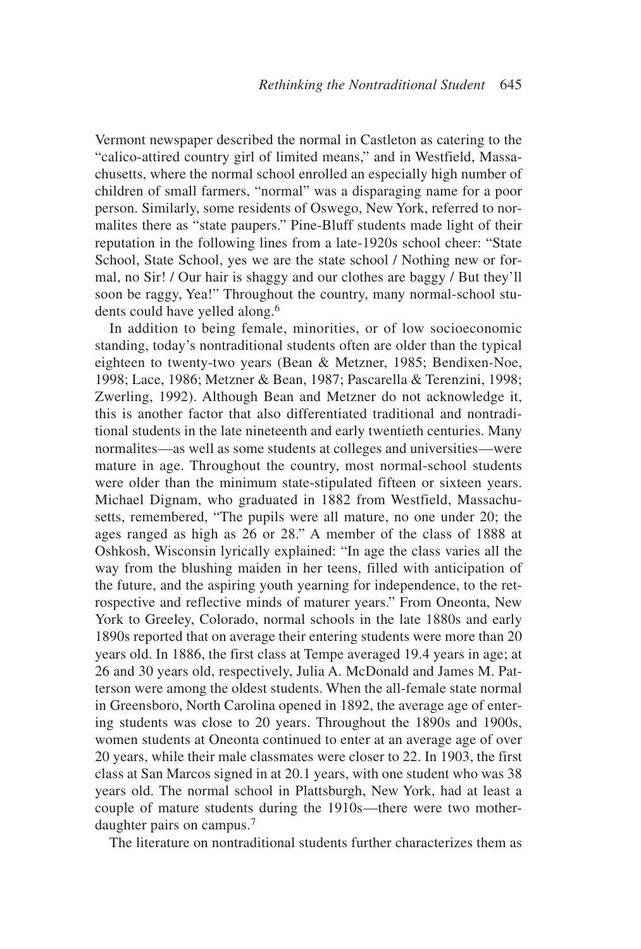Vermont newspaper described the normal in Castleton as catering to the "calico-attired country girl of limited means," and in Westfield, Massachusetts, where the normal school enrolled an especially high number of children of small farmers, "normal" was a disparaging name for a poor person. Similarly, some residents of Oswego, New York, referred to normalites there as "state paupers." Pine-Bluff students made light of their reputation in the following lines from a late-1920s school cheer: "State School, State School, yes we are the state school / Nothing new or formal, no Sir! / Our hair is shaggy and our clothes are baggy / But they'll soon be raggy, Yea!" Throughout the country, many normal-school students could have yelled along. 6

In addition to being female, minorities, or of low socioeconomic standing, today's nontraditional students often are older than the typical eighteen to twenty-two years (Bean & Metzner, 1985; Bendixen-Noe, 1998; Lace, 1986; Metzner & Bean, 1987; Pascarella & Terenzini, 1998; Zwerling, 1992). Although Bean and Metzner do not acknowledge it, this is another factor that also differentiated traditional and nontraditional students in the late nineteenth and early twentieth centuries. Many normalites—as well as some students at colleges and universities—were mature in age. Throughout the country, most normal-school students were older than the minimum state-stipulated fifteen or sixteen years. Michael Dignam, who graduated in 1882 from Westfield, Massachusetts, remembered, "The pupils were all mature, no one under 20; the ages ranged as high as 26 or 28." A member of the class of 1888 at Oshkosh, Wisconsin lyrically explained: "In age the class varies all the way from the blushing maiden in her teens, filled with anticipation of the future, and the aspiring youth yearning for independence, to the retrospective and reflective minds of maturer years." From Oneonta, New York to Greeley, Colorado, normal schools in the late 1880s and early 1890s reported that on average their entering students were more than 20 years old. In 1886, the first class at Tempe averaged 19.4 years in age; at 26 and 30 years old, respectively, Julia A. McDonald and James M. Patterson were among the oldest students. When the all-female state normal in Greensboro, North Carolina opened in 1892, the average age of entering students was close to 20 years. Throughout the 1890s and 1900s, women students at Oneonta continued to enter at an average age of over 20 years, while their male classmates were closer to 22. In 1903, the first class at San Marcos signed in at 20.1 years, with one student who was 38 years old. The normal school in Plattsburgh, New York, had at least a couple of mature students during the 1910s—there were two motherdaughter pairs on campus. 7

The literature on nontraditional students further characterizes them as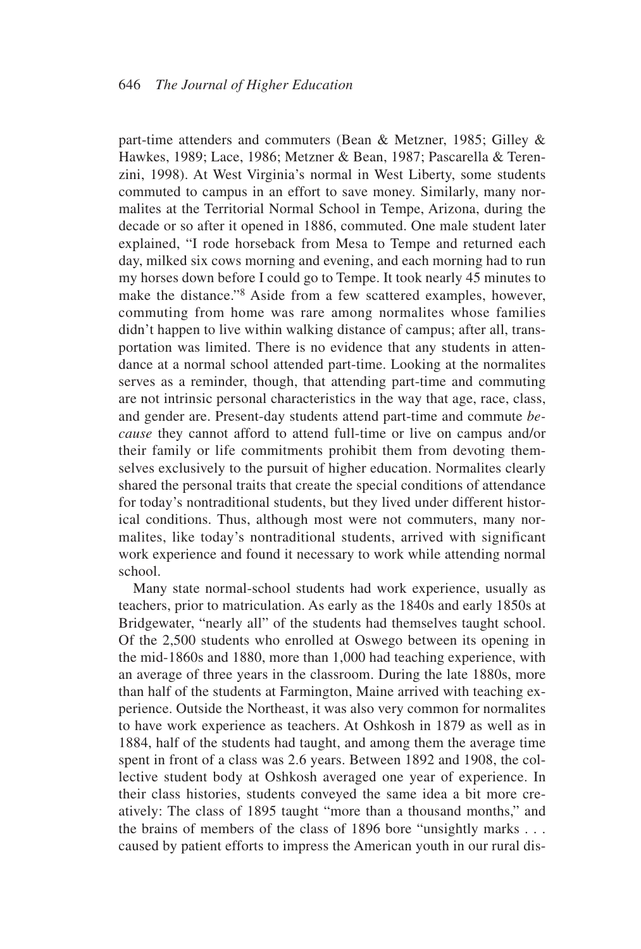part-time attenders and commuters (Bean & Metzner, 1985; Gilley & Hawkes, 1989; Lace, 1986; Metzner & Bean, 1987; Pascarella & Terenzini, 1998). At West Virginia's normal in West Liberty, some students commuted to campus in an effort to save money. Similarly, many normalites at the Territorial Normal School in Tempe, Arizona, during the decade or so after it opened in 1886, commuted. One male student later explained, "I rode horseback from Mesa to Tempe and returned each day, milked six cows morning and evening, and each morning had to run my horses down before I could go to Tempe. It took nearly 45 minutes to make the distance."8 Aside from a few scattered examples, however, commuting from home was rare among normalites whose families didn't happen to live within walking distance of campus; after all, transportation was limited. There is no evidence that any students in attendance at a normal school attended part-time. Looking at the normalites serves as a reminder, though, that attending part-time and commuting are not intrinsic personal characteristics in the way that age, race, class, and gender are. Present-day students attend part-time and commute *because* they cannot afford to attend full-time or live on campus and/or their family or life commitments prohibit them from devoting themselves exclusively to the pursuit of higher education. Normalites clearly shared the personal traits that create the special conditions of attendance for today's nontraditional students, but they lived under different historical conditions. Thus, although most were not commuters, many normalites, like today's nontraditional students, arrived with significant work experience and found it necessary to work while attending normal school.

Many state normal-school students had work experience, usually as teachers, prior to matriculation. As early as the 1840s and early 1850s at Bridgewater, "nearly all" of the students had themselves taught school. Of the 2,500 students who enrolled at Oswego between its opening in the mid-1860s and 1880, more than 1,000 had teaching experience, with an average of three years in the classroom. During the late 1880s, more than half of the students at Farmington, Maine arrived with teaching experience. Outside the Northeast, it was also very common for normalites to have work experience as teachers. At Oshkosh in 1879 as well as in 1884, half of the students had taught, and among them the average time spent in front of a class was 2.6 years. Between 1892 and 1908, the collective student body at Oshkosh averaged one year of experience. In their class histories, students conveyed the same idea a bit more creatively: The class of 1895 taught "more than a thousand months," and the brains of members of the class of 1896 bore "unsightly marks . . . caused by patient efforts to impress the American youth in our rural dis-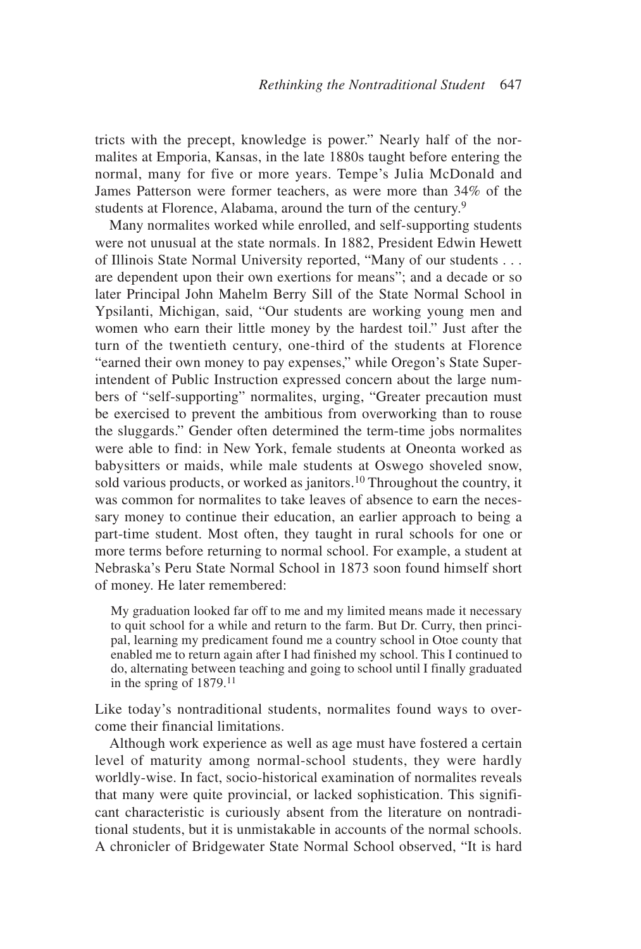tricts with the precept, knowledge is power." Nearly half of the normalites at Emporia, Kansas, in the late 1880s taught before entering the normal, many for five or more years. Tempe's Julia McDonald and James Patterson were former teachers, as were more than 34% of the students at Florence, Alabama, around the turn of the century.<sup>9</sup>

Many normalites worked while enrolled, and self-supporting students were not unusual at the state normals. In 1882, President Edwin Hewett of Illinois State Normal University reported, "Many of our students . . . are dependent upon their own exertions for means"; and a decade or so later Principal John Mahelm Berry Sill of the State Normal School in Ypsilanti, Michigan, said, "Our students are working young men and women who earn their little money by the hardest toil." Just after the turn of the twentieth century, one-third of the students at Florence "earned their own money to pay expenses," while Oregon's State Superintendent of Public Instruction expressed concern about the large numbers of "self-supporting" normalites, urging, "Greater precaution must be exercised to prevent the ambitious from overworking than to rouse the sluggards." Gender often determined the term-time jobs normalites were able to find: in New York, female students at Oneonta worked as babysitters or maids, while male students at Oswego shoveled snow, sold various products, or worked as janitors.<sup>10</sup> Throughout the country, it was common for normalites to take leaves of absence to earn the necessary money to continue their education, an earlier approach to being a part-time student. Most often, they taught in rural schools for one or more terms before returning to normal school. For example, a student at Nebraska's Peru State Normal School in 1873 soon found himself short of money. He later remembered:

My graduation looked far off to me and my limited means made it necessary to quit school for a while and return to the farm. But Dr. Curry, then principal, learning my predicament found me a country school in Otoe county that enabled me to return again after I had finished my school. This I continued to do, alternating between teaching and going to school until I finally graduated in the spring of 1879.<sup>11</sup>

Like today's nontraditional students, normalites found ways to overcome their financial limitations.

Although work experience as well as age must have fostered a certain level of maturity among normal-school students, they were hardly worldly-wise. In fact, socio-historical examination of normalites reveals that many were quite provincial, or lacked sophistication. This significant characteristic is curiously absent from the literature on nontraditional students, but it is unmistakable in accounts of the normal schools. A chronicler of Bridgewater State Normal School observed, "It is hard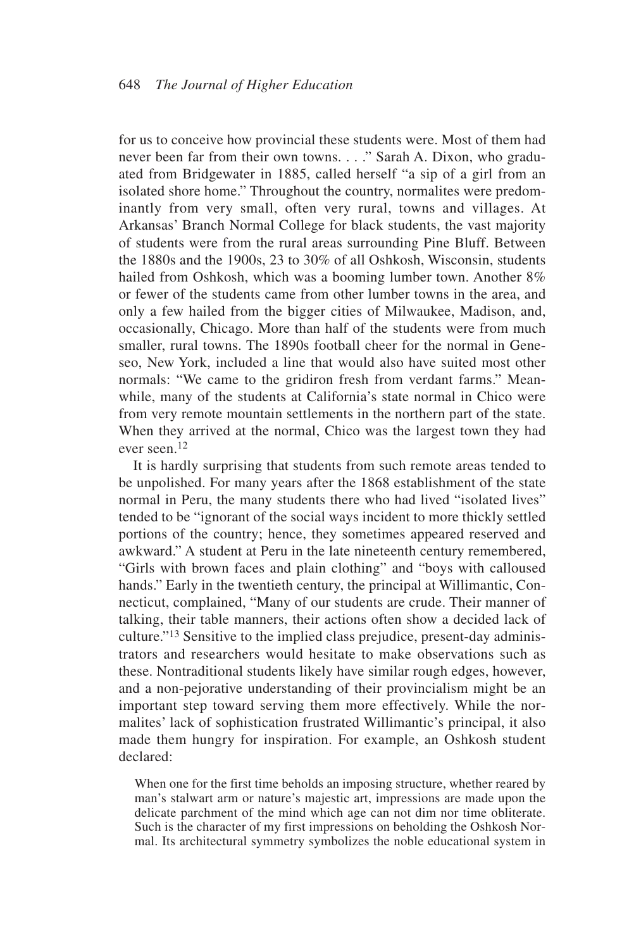for us to conceive how provincial these students were. Most of them had never been far from their own towns. . . ." Sarah A. Dixon, who graduated from Bridgewater in 1885, called herself "a sip of a girl from an isolated shore home." Throughout the country, normalites were predominantly from very small, often very rural, towns and villages. At Arkansas' Branch Normal College for black students, the vast majority of students were from the rural areas surrounding Pine Bluff. Between the 1880s and the 1900s, 23 to 30% of all Oshkosh, Wisconsin, students hailed from Oshkosh, which was a booming lumber town. Another 8% or fewer of the students came from other lumber towns in the area, and only a few hailed from the bigger cities of Milwaukee, Madison, and, occasionally, Chicago. More than half of the students were from much smaller, rural towns. The 1890s football cheer for the normal in Geneseo, New York, included a line that would also have suited most other normals: "We came to the gridiron fresh from verdant farms." Meanwhile, many of the students at California's state normal in Chico were from very remote mountain settlements in the northern part of the state. When they arrived at the normal, Chico was the largest town they had ever seen. 12

It is hardly surprising that students from such remote areas tended to be unpolished. For many years after the 1868 establishment of the state normal in Peru, the many students there who had lived "isolated lives" tended to be "ignorant of the social ways incident to more thickly settled portions of the country; hence, they sometimes appeared reserved and awkward." A student at Peru in the late nineteenth century remembered, "Girls with brown faces and plain clothing" and "boys with calloused hands." Early in the twentieth century, the principal at Willimantic, Connecticut, complained, "Many of our students are crude. Their manner of talking, their table manners, their actions often show a decided lack of culture."13 Sensitive to the implied class prejudice, present-day administrators and researchers would hesitate to make observations such as these. Nontraditional students likely have similar rough edges, however, and a non-pejorative understanding of their provincialism might be an important step toward serving them more effectively. While the normalites' lack of sophistication frustrated Willimantic's principal, it also made them hungry for inspiration. For example, an Oshkosh student declared:

When one for the first time beholds an imposing structure, whether reared by man's stalwart arm or nature's majestic art, impressions are made upon the delicate parchment of the mind which age can not dim nor time obliterate. Such is the character of my first impressions on beholding the Oshkosh Normal. Its architectural symmetry symbolizes the noble educational system in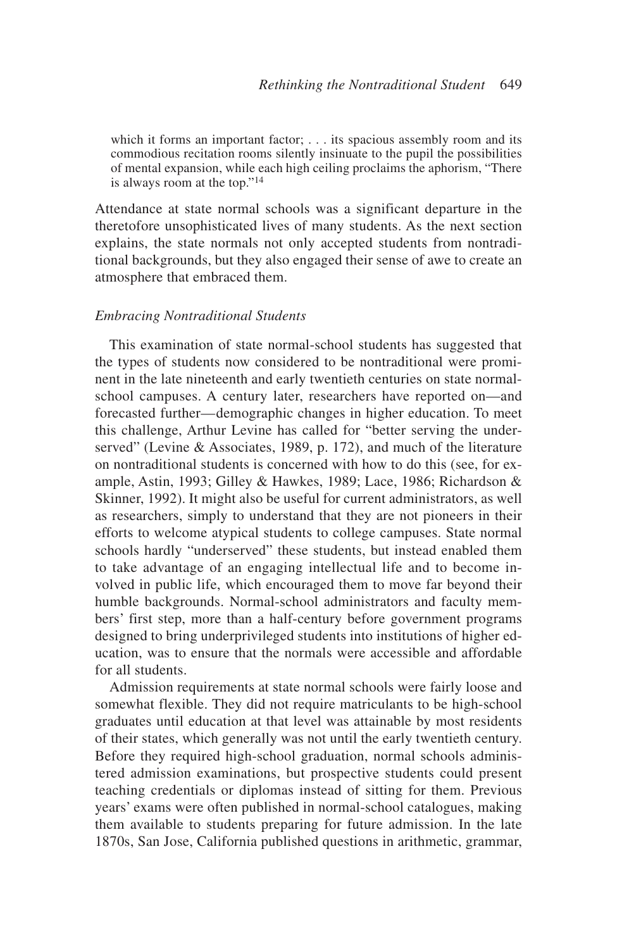which it forms an important factor; . . . its spacious assembly room and its commodious recitation rooms silently insinuate to the pupil the possibilities of mental expansion, while each high ceiling proclaims the aphorism, "There is always room at the top."14

Attendance at state normal schools was a significant departure in the theretofore unsophisticated lives of many students. As the next section explains, the state normals not only accepted students from nontraditional backgrounds, but they also engaged their sense of awe to create an atmosphere that embraced them.

#### *Embracing Nontraditional Students*

This examination of state normal-school students has suggested that the types of students now considered to be nontraditional were prominent in the late nineteenth and early twentieth centuries on state normalschool campuses. A century later, researchers have reported on—and forecasted further—demographic changes in higher education. To meet this challenge, Arthur Levine has called for "better serving the underserved" (Levine & Associates, 1989, p. 172), and much of the literature on nontraditional students is concerned with how to do this (see, for example, Astin, 1993; Gilley & Hawkes, 1989; Lace, 1986; Richardson & Skinner, 1992). It might also be useful for current administrators, as well as researchers, simply to understand that they are not pioneers in their efforts to welcome atypical students to college campuses. State normal schools hardly "underserved" these students, but instead enabled them to take advantage of an engaging intellectual life and to become involved in public life, which encouraged them to move far beyond their humble backgrounds. Normal-school administrators and faculty members' first step, more than a half-century before government programs designed to bring underprivileged students into institutions of higher education, was to ensure that the normals were accessible and affordable for all students.

Admission requirements at state normal schools were fairly loose and somewhat flexible. They did not require matriculants to be high-school graduates until education at that level was attainable by most residents of their states, which generally was not until the early twentieth century. Before they required high-school graduation, normal schools administered admission examinations, but prospective students could present teaching credentials or diplomas instead of sitting for them. Previous years' exams were often published in normal-school catalogues, making them available to students preparing for future admission. In the late 1870s, San Jose, California published questions in arithmetic, grammar,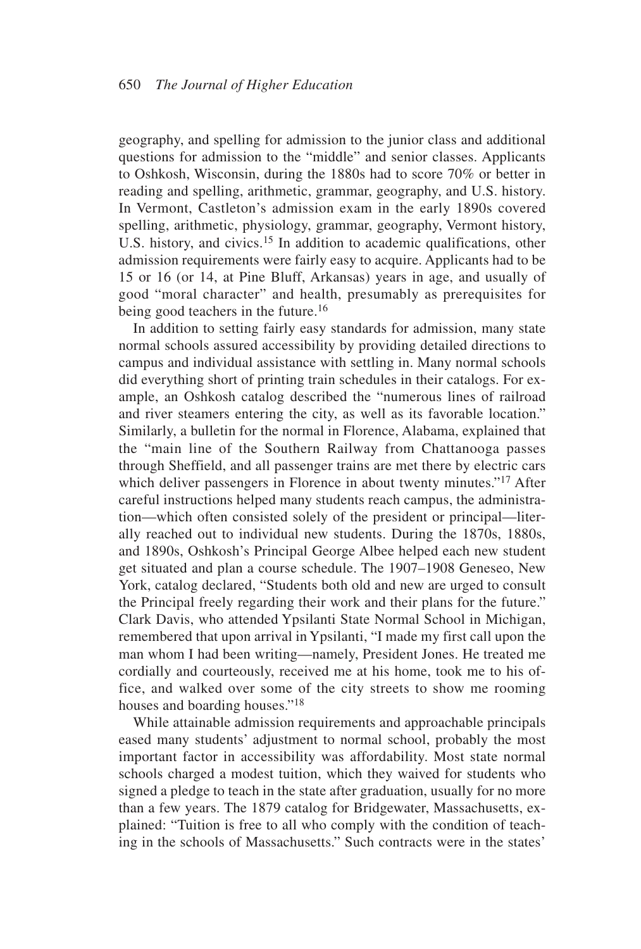geography, and spelling for admission to the junior class and additional questions for admission to the "middle" and senior classes. Applicants to Oshkosh, Wisconsin, during the 1880s had to score 70% or better in reading and spelling, arithmetic, grammar, geography, and U.S. history. In Vermont, Castleton's admission exam in the early 1890s covered spelling, arithmetic, physiology, grammar, geography, Vermont history, U.S. history, and civics. <sup>15</sup> In addition to academic qualifications, other admission requirements were fairly easy to acquire. Applicants had to be 15 or 16 (or 14, at Pine Bluff, Arkansas) years in age, and usually of good "moral character" and health, presumably as prerequisites for being good teachers in the future.<sup>16</sup>

In addition to setting fairly easy standards for admission, many state normal schools assured accessibility by providing detailed directions to campus and individual assistance with settling in. Many normal schools did everything short of printing train schedules in their catalogs. For example, an Oshkosh catalog described the "numerous lines of railroad and river steamers entering the city, as well as its favorable location." Similarly, a bulletin for the normal in Florence, Alabama, explained that the "main line of the Southern Railway from Chattanooga passes through Sheffield, and all passenger trains are met there by electric cars which deliver passengers in Florence in about twenty minutes."<sup>17</sup> After careful instructions helped many students reach campus, the administration—which often consisted solely of the president or principal—literally reached out to individual new students. During the 1870s, 1880s, and 1890s, Oshkosh's Principal George Albee helped each new student get situated and plan a course schedule. The 1907–1908 Geneseo, New York, catalog declared, "Students both old and new are urged to consult the Principal freely regarding their work and their plans for the future." Clark Davis, who attended Ypsilanti State Normal School in Michigan, remembered that upon arrival in Ypsilanti, "I made my first call upon the man whom I had been writing—namely, President Jones. He treated me cordially and courteously, received me at his home, took me to his office, and walked over some of the city streets to show me rooming houses and boarding houses."18

While attainable admission requirements and approachable principals eased many students' adjustment to normal school, probably the most important factor in accessibility was affordability. Most state normal schools charged a modest tuition, which they waived for students who signed a pledge to teach in the state after graduation, usually for no more than a few years. The 1879 catalog for Bridgewater, Massachusetts, explained: "Tuition is free to all who comply with the condition of teaching in the schools of Massachusetts." Such contracts were in the states'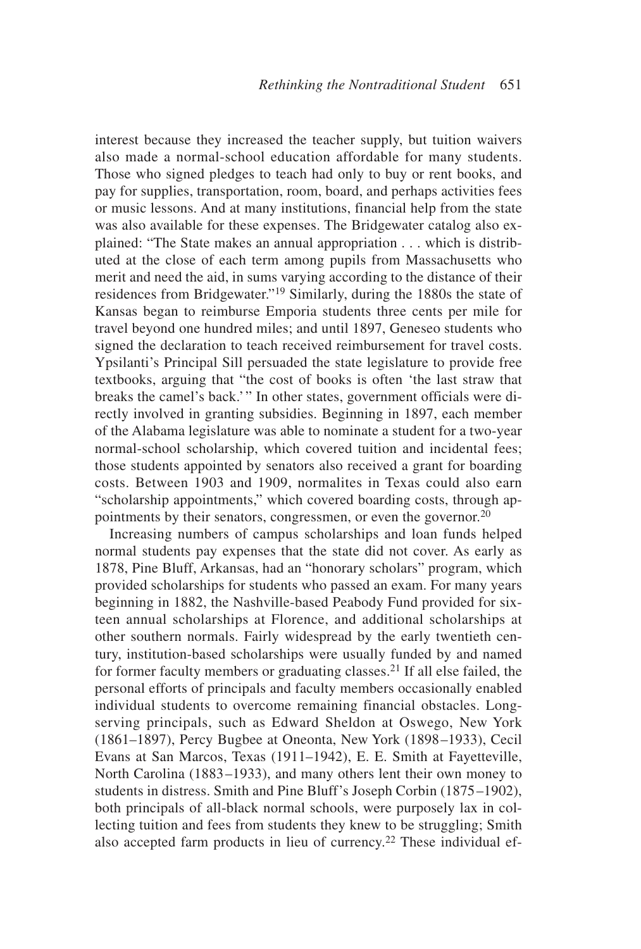interest because they increased the teacher supply, but tuition waivers also made a normal-school education affordable for many students. Those who signed pledges to teach had only to buy or rent books, and pay for supplies, transportation, room, board, and perhaps activities fees or music lessons. And at many institutions, financial help from the state was also available for these expenses. The Bridgewater catalog also explained: "The State makes an annual appropriation . . . which is distributed at the close of each term among pupils from Massachusetts who merit and need the aid, in sums varying according to the distance of their residences from Bridgewater."19 Similarly, during the 1880s the state of Kansas began to reimburse Emporia students three cents per mile for travel beyond one hundred miles; and until 1897, Geneseo students who signed the declaration to teach received reimbursement for travel costs. Ypsilanti's Principal Sill persuaded the state legislature to provide free textbooks, arguing that "the cost of books is often 'the last straw that breaks the camel's back.'" In other states, government officials were directly involved in granting subsidies. Beginning in 1897, each member of the Alabama legislature was able to nominate a student for a two-year normal-school scholarship, which covered tuition and incidental fees; those students appointed by senators also received a grant for boarding costs. Between 1903 and 1909, normalites in Texas could also earn "scholarship appointments," which covered boarding costs, through appointments by their senators, congressmen, or even the governor.<sup>20</sup>

Increasing numbers of campus scholarships and loan funds helped normal students pay expenses that the state did not cover. As early as 1878, Pine Bluff, Arkansas, had an "honorary scholars" program, which provided scholarships for students who passed an exam. For many years beginning in 1882, the Nashville-based Peabody Fund provided for sixteen annual scholarships at Florence, and additional scholarships at other southern normals. Fairly widespread by the early twentieth century, institution-based scholarships were usually funded by and named for former faculty members or graduating classes. <sup>21</sup> If all else failed, the personal efforts of principals and faculty members occasionally enabled individual students to overcome remaining financial obstacles. Longserving principals, such as Edward Sheldon at Oswego, New York (1861–1897), Percy Bugbee at Oneonta, New York (1898–1933), Cecil Evans at San Marcos, Texas (1911–1942), E. E. Smith at Fayetteville, North Carolina (1883–1933), and many others lent their own money to students in distress. Smith and Pine Bluff's Joseph Corbin (1875–1902), both principals of all-black normal schools, were purposely lax in collecting tuition and fees from students they knew to be struggling; Smith also accepted farm products in lieu of currency. <sup>22</sup> These individual ef-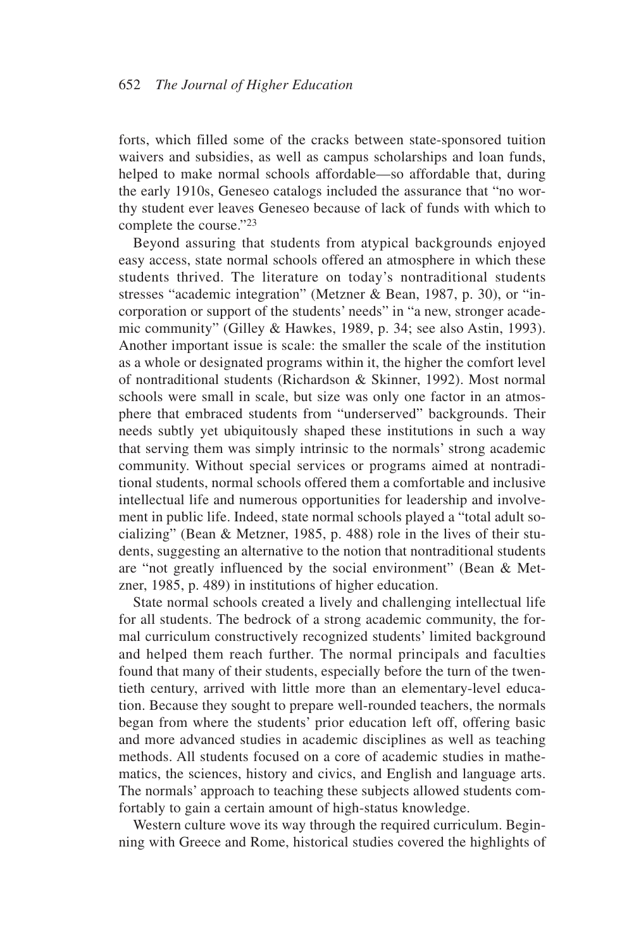forts, which filled some of the cracks between state-sponsored tuition waivers and subsidies, as well as campus scholarships and loan funds, helped to make normal schools affordable—so affordable that, during the early 1910s, Geneseo catalogs included the assurance that "no worthy student ever leaves Geneseo because of lack of funds with which to complete the course."23

Beyond assuring that students from atypical backgrounds enjoyed easy access, state normal schools offered an atmosphere in which these students thrived. The literature on today's nontraditional students stresses "academic integration" (Metzner & Bean, 1987, p. 30), or "incorporation or support of the students' needs" in "a new, stronger academic community" (Gilley & Hawkes, 1989, p. 34; see also Astin, 1993). Another important issue is scale: the smaller the scale of the institution as a whole or designated programs within it, the higher the comfort level of nontraditional students (Richardson & Skinner, 1992). Most normal schools were small in scale, but size was only one factor in an atmosphere that embraced students from "underserved" backgrounds. Their needs subtly yet ubiquitously shaped these institutions in such a way that serving them was simply intrinsic to the normals' strong academic community. Without special services or programs aimed at nontraditional students, normal schools offered them a comfortable and inclusive intellectual life and numerous opportunities for leadership and involvement in public life. Indeed, state normal schools played a "total adult socializing" (Bean & Metzner, 1985, p. 488) role in the lives of their students, suggesting an alternative to the notion that nontraditional students are "not greatly influenced by the social environment" (Bean & Metzner, 1985, p. 489) in institutions of higher education.

State normal schools created a lively and challenging intellectual life for all students. The bedrock of a strong academic community, the formal curriculum constructively recognized students' limited background and helped them reach further. The normal principals and faculties found that many of their students, especially before the turn of the twentieth century, arrived with little more than an elementary-level education. Because they sought to prepare well-rounded teachers, the normals began from where the students' prior education left off, offering basic and more advanced studies in academic disciplines as well as teaching methods. All students focused on a core of academic studies in mathematics, the sciences, history and civics, and English and language arts. The normals' approach to teaching these subjects allowed students comfortably to gain a certain amount of high-status knowledge.

Western culture wove its way through the required curriculum. Beginning with Greece and Rome, historical studies covered the highlights of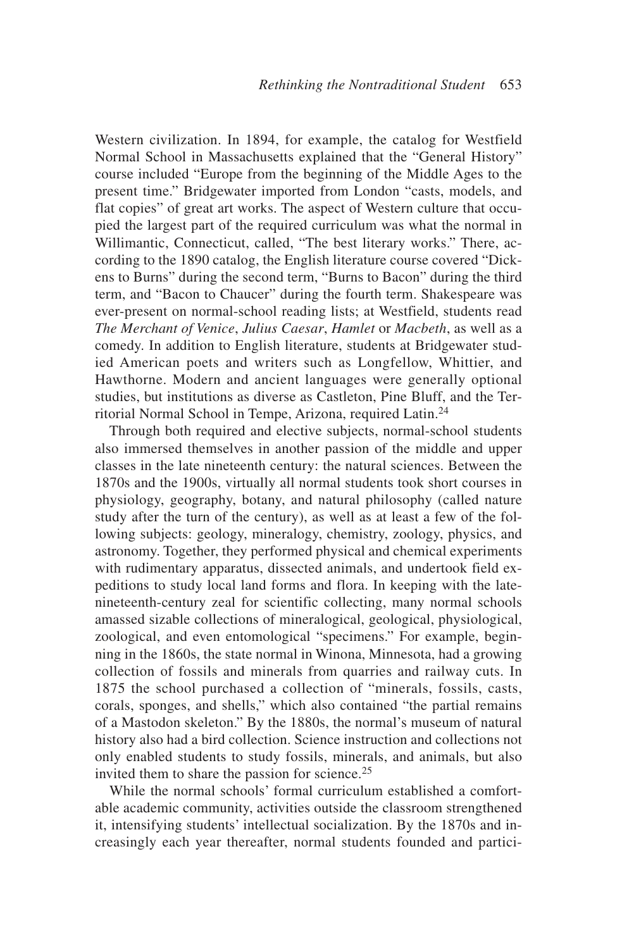Western civilization. In 1894, for example, the catalog for Westfield Normal School in Massachusetts explained that the "General History" course included "Europe from the beginning of the Middle Ages to the present time." Bridgewater imported from London "casts, models, and flat copies" of great art works. The aspect of Western culture that occupied the largest part of the required curriculum was what the normal in Willimantic, Connecticut, called, "The best literary works." There, according to the 1890 catalog, the English literature course covered "Dickens to Burns" during the second term, "Burns to Bacon" during the third term, and "Bacon to Chaucer" during the fourth term. Shakespeare was ever-present on normal-school reading lists; at Westfield, students read *The Merchant of Venice*, *Julius Caesar*, *Hamlet* or *Macbeth*, as well as a comedy. In addition to English literature, students at Bridgewater studied American poets and writers such as Longfellow, Whittier, and Hawthorne. Modern and ancient languages were generally optional studies, but institutions as diverse as Castleton, Pine Bluff, and the Territorial Normal School in Tempe, Arizona, required Latin. 24

Through both required and elective subjects, normal-school students also immersed themselves in another passion of the middle and upper classes in the late nineteenth century: the natural sciences. Between the 1870s and the 1900s, virtually all normal students took short courses in physiology, geography, botany, and natural philosophy (called nature study after the turn of the century), as well as at least a few of the following subjects: geology, mineralogy, chemistry, zoology, physics, and astronomy. Together, they performed physical and chemical experiments with rudimentary apparatus, dissected animals, and undertook field expeditions to study local land forms and flora. In keeping with the latenineteenth-century zeal for scientific collecting, many normal schools amassed sizable collections of mineralogical, geological, physiological, zoological, and even entomological "specimens." For example, beginning in the 1860s, the state normal in Winona, Minnesota, had a growing collection of fossils and minerals from quarries and railway cuts. In 1875 the school purchased a collection of "minerals, fossils, casts, corals, sponges, and shells," which also contained "the partial remains of a Mastodon skeleton." By the 1880s, the normal's museum of natural history also had a bird collection. Science instruction and collections not only enabled students to study fossils, minerals, and animals, but also invited them to share the passion for science. 25

While the normal schools' formal curriculum established a comfortable academic community, activities outside the classroom strengthened it, intensifying students' intellectual socialization. By the 1870s and increasingly each year thereafter, normal students founded and partici-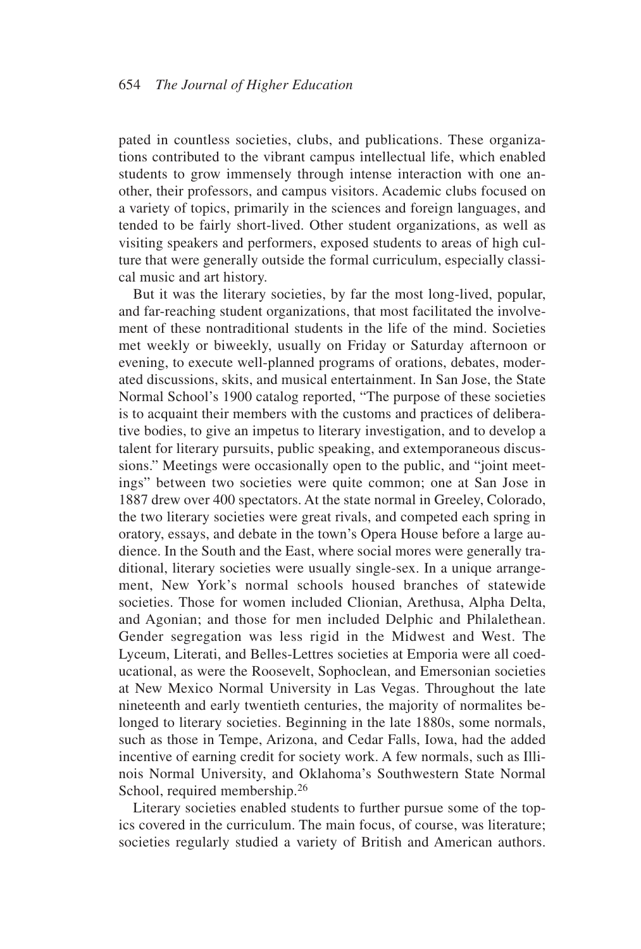pated in countless societies, clubs, and publications. These organizations contributed to the vibrant campus intellectual life, which enabled students to grow immensely through intense interaction with one another, their professors, and campus visitors. Academic clubs focused on a variety of topics, primarily in the sciences and foreign languages, and tended to be fairly short-lived. Other student organizations, as well as visiting speakers and performers, exposed students to areas of high culture that were generally outside the formal curriculum, especially classical music and art history.

But it was the literary societies, by far the most long-lived, popular, and far-reaching student organizations, that most facilitated the involvement of these nontraditional students in the life of the mind. Societies met weekly or biweekly, usually on Friday or Saturday afternoon or evening, to execute well-planned programs of orations, debates, moderated discussions, skits, and musical entertainment. In San Jose, the State Normal School's 1900 catalog reported, "The purpose of these societies is to acquaint their members with the customs and practices of deliberative bodies, to give an impetus to literary investigation, and to develop a talent for literary pursuits, public speaking, and extemporaneous discussions." Meetings were occasionally open to the public, and "joint meetings" between two societies were quite common; one at San Jose in 1887 drew over 400 spectators. At the state normal in Greeley, Colorado, the two literary societies were great rivals, and competed each spring in oratory, essays, and debate in the town's Opera House before a large audience. In the South and the East, where social mores were generally traditional, literary societies were usually single-sex. In a unique arrangement, New York's normal schools housed branches of statewide societies. Those for women included Clionian, Arethusa, Alpha Delta, and Agonian; and those for men included Delphic and Philalethean. Gender segregation was less rigid in the Midwest and West. The Lyceum, Literati, and Belles-Lettres societies at Emporia were all coeducational, as were the Roosevelt, Sophoclean, and Emersonian societies at New Mexico Normal University in Las Vegas. Throughout the late nineteenth and early twentieth centuries, the majority of normalites belonged to literary societies. Beginning in the late 1880s, some normals, such as those in Tempe, Arizona, and Cedar Falls, Iowa, had the added incentive of earning credit for society work. A few normals, such as Illinois Normal University, and Oklahoma's Southwestern State Normal School, required membership.<sup>26</sup>

Literary societies enabled students to further pursue some of the topics covered in the curriculum. The main focus, of course, was literature; societies regularly studied a variety of British and American authors.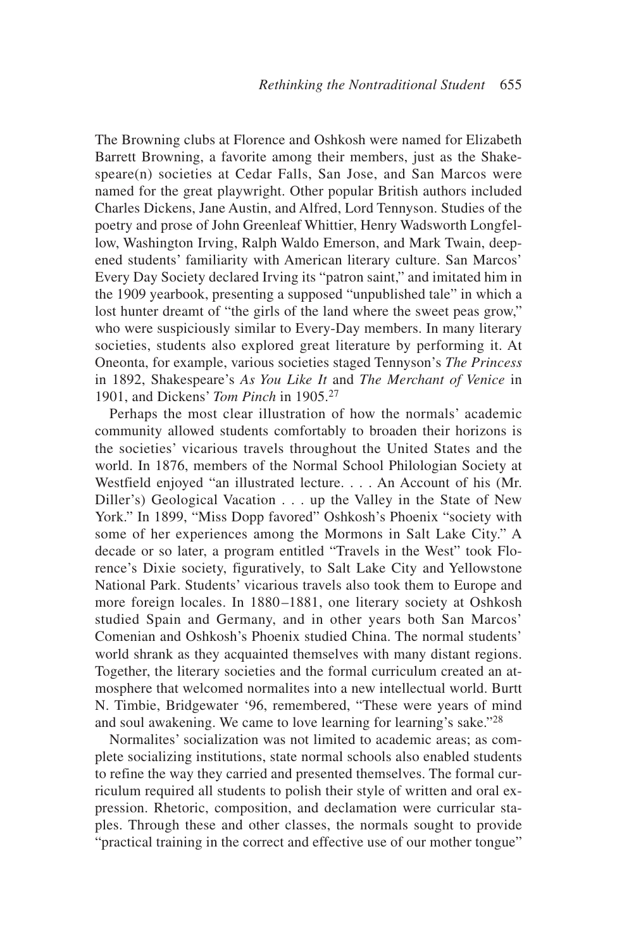The Browning clubs at Florence and Oshkosh were named for Elizabeth Barrett Browning, a favorite among their members, just as the Shakespeare(n) societies at Cedar Falls, San Jose, and San Marcos were named for the great playwright. Other popular British authors included Charles Dickens, Jane Austin, and Alfred, Lord Tennyson. Studies of the poetry and prose of John Greenleaf Whittier, Henry Wadsworth Longfellow, Washington Irving, Ralph Waldo Emerson, and Mark Twain, deepened students' familiarity with American literary culture. San Marcos' Every Day Society declared Irving its "patron saint," and imitated him in the 1909 yearbook, presenting a supposed "unpublished tale" in which a lost hunter dreamt of "the girls of the land where the sweet peas grow," who were suspiciously similar to Every-Day members. In many literary societies, students also explored great literature by performing it. At Oneonta, for example, various societies staged Tennyson's *The Princess* in 1892, Shakespeare's *As You Like It* and *The Merchant of Venice* in 1901, and Dickens' *Tom Pinch* in 1905. 27

Perhaps the most clear illustration of how the normals' academic community allowed students comfortably to broaden their horizons is the societies' vicarious travels throughout the United States and the world. In 1876, members of the Normal School Philologian Society at Westfield enjoyed "an illustrated lecture. . . . An Account of his (Mr. Diller's) Geological Vacation . . . up the Valley in the State of New York." In 1899, "Miss Dopp favored" Oshkosh's Phoenix "society with some of her experiences among the Mormons in Salt Lake City." A decade or so later, a program entitled "Travels in the West" took Florence's Dixie society, figuratively, to Salt Lake City and Yellowstone National Park. Students' vicarious travels also took them to Europe and more foreign locales. In 1880–1881, one literary society at Oshkosh studied Spain and Germany, and in other years both San Marcos' Comenian and Oshkosh's Phoenix studied China. The normal students' world shrank as they acquainted themselves with many distant regions. Together, the literary societies and the formal curriculum created an atmosphere that welcomed normalites into a new intellectual world. Burtt N. Timbie, Bridgewater '96, remembered, "These were years of mind and soul awakening. We came to love learning for learning's sake."28

Normalites' socialization was not limited to academic areas; as complete socializing institutions, state normal schools also enabled students to refine the way they carried and presented themselves. The formal curriculum required all students to polish their style of written and oral expression. Rhetoric, composition, and declamation were curricular staples. Through these and other classes, the normals sought to provide "practical training in the correct and effective use of our mother tongue"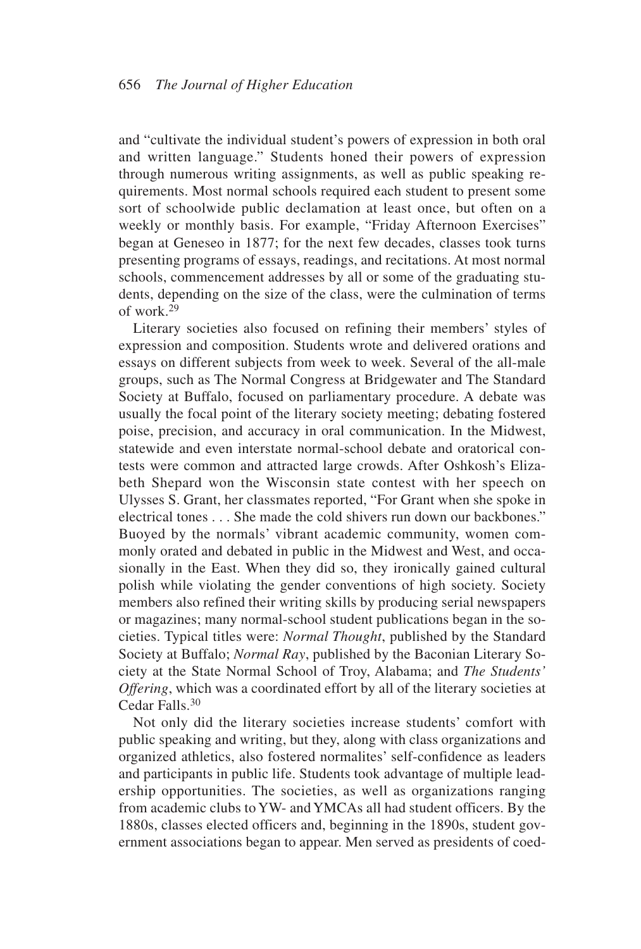and "cultivate the individual student's powers of expression in both oral and written language." Students honed their powers of expression through numerous writing assignments, as well as public speaking requirements. Most normal schools required each student to present some sort of schoolwide public declamation at least once, but often on a weekly or monthly basis. For example, "Friday Afternoon Exercises" began at Geneseo in 1877; for the next few decades, classes took turns presenting programs of essays, readings, and recitations. At most normal schools, commencement addresses by all or some of the graduating students, depending on the size of the class, were the culmination of terms of work. 29

Literary societies also focused on refining their members' styles of expression and composition. Students wrote and delivered orations and essays on different subjects from week to week. Several of the all-male groups, such as The Normal Congress at Bridgewater and The Standard Society at Buffalo, focused on parliamentary procedure. A debate was usually the focal point of the literary society meeting; debating fostered poise, precision, and accuracy in oral communication. In the Midwest, statewide and even interstate normal-school debate and oratorical contests were common and attracted large crowds. After Oshkosh's Elizabeth Shepard won the Wisconsin state contest with her speech on Ulysses S. Grant, her classmates reported, "For Grant when she spoke in electrical tones . . . She made the cold shivers run down our backbones." Buoyed by the normals' vibrant academic community, women commonly orated and debated in public in the Midwest and West, and occasionally in the East. When they did so, they ironically gained cultural polish while violating the gender conventions of high society. Society members also refined their writing skills by producing serial newspapers or magazines; many normal-school student publications began in the societies. Typical titles were: *Normal Thought*, published by the Standard Society at Buffalo; *Normal Ray*, published by the Baconian Literary Society at the State Normal School of Troy, Alabama; and *The Students' Offering*, which was a coordinated effort by all of the literary societies at Cedar Falls. 30

Not only did the literary societies increase students' comfort with public speaking and writing, but they, along with class organizations and organized athletics, also fostered normalites' self-confidence as leaders and participants in public life. Students took advantage of multiple leadership opportunities. The societies, as well as organizations ranging from academic clubs to YW- and YMCAs all had student officers. By the 1880s, classes elected officers and, beginning in the 1890s, student government associations began to appear. Men served as presidents of coed-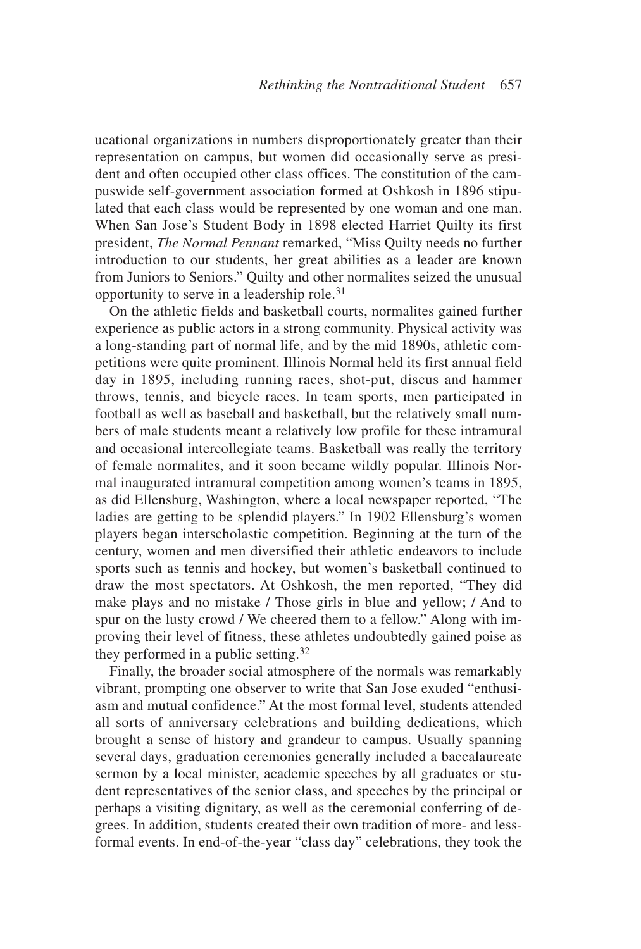ucational organizations in numbers disproportionately greater than their representation on campus, but women did occasionally serve as president and often occupied other class offices. The constitution of the campuswide self-government association formed at Oshkosh in 1896 stipulated that each class would be represented by one woman and one man. When San Jose's Student Body in 1898 elected Harriet Quilty its first president, *The Normal Pennant* remarked, "Miss Quilty needs no further introduction to our students, her great abilities as a leader are known from Juniors to Seniors." Quilty and other normalites seized the unusual opportunity to serve in a leadership role. 31

On the athletic fields and basketball courts, normalites gained further experience as public actors in a strong community. Physical activity was a long-standing part of normal life, and by the mid 1890s, athletic competitions were quite prominent. Illinois Normal held its first annual field day in 1895, including running races, shot-put, discus and hammer throws, tennis, and bicycle races. In team sports, men participated in football as well as baseball and basketball, but the relatively small numbers of male students meant a relatively low profile for these intramural and occasional intercollegiate teams. Basketball was really the territory of female normalites, and it soon became wildly popular. Illinois Normal inaugurated intramural competition among women's teams in 1895, as did Ellensburg, Washington, where a local newspaper reported, "The ladies are getting to be splendid players." In 1902 Ellensburg's women players began interscholastic competition. Beginning at the turn of the century, women and men diversified their athletic endeavors to include sports such as tennis and hockey, but women's basketball continued to draw the most spectators. At Oshkosh, the men reported, "They did make plays and no mistake / Those girls in blue and yellow; / And to spur on the lusty crowd / We cheered them to a fellow." Along with improving their level of fitness, these athletes undoubtedly gained poise as they performed in a public setting. 32

Finally, the broader social atmosphere of the normals was remarkably vibrant, prompting one observer to write that San Jose exuded "enthusiasm and mutual confidence." At the most formal level, students attended all sorts of anniversary celebrations and building dedications, which brought a sense of history and grandeur to campus. Usually spanning several days, graduation ceremonies generally included a baccalaureate sermon by a local minister, academic speeches by all graduates or student representatives of the senior class, and speeches by the principal or perhaps a visiting dignitary, as well as the ceremonial conferring of degrees. In addition, students created their own tradition of more- and lessformal events. In end-of-the-year "class day" celebrations, they took the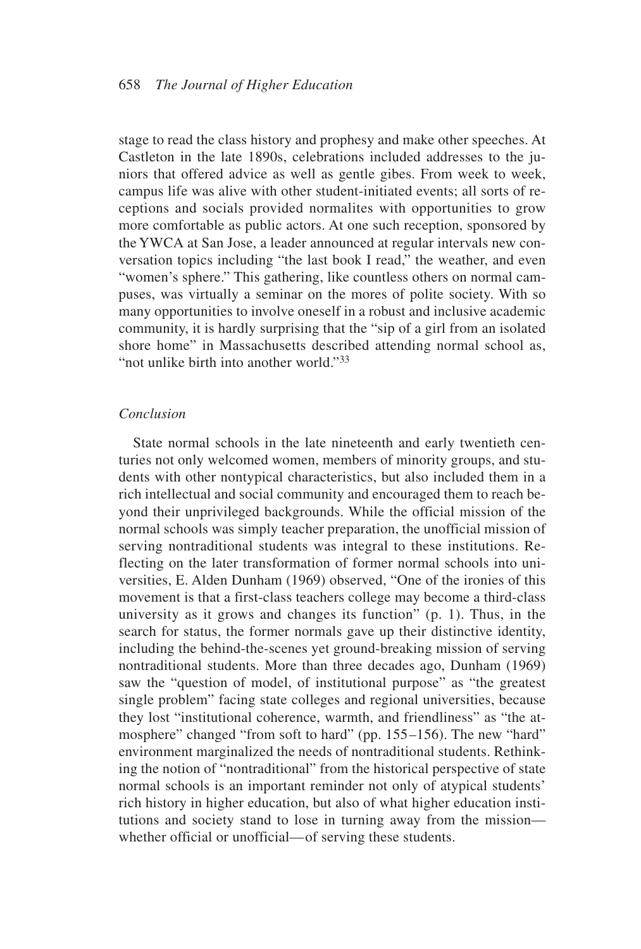stage to read the class history and prophesy and make other speeches. At Castleton in the late 1890s, celebrations included addresses to the juniors that offered advice as well as gentle gibes. From week to week, campus life was alive with other student-initiated events; all sorts of receptions and socials provided normalites with opportunities to grow more comfortable as public actors. At one such reception, sponsored by the YWCA at San Jose, a leader announced at regular intervals new conversation topics including "the last book I read," the weather, and even "women's sphere." This gathering, like countless others on normal campuses, was virtually a seminar on the mores of polite society. With so many opportunities to involve oneself in a robust and inclusive academic community, it is hardly surprising that the "sip of a girl from an isolated shore home" in Massachusetts described attending normal school as, "not unlike birth into another world."<sup>33</sup>

# *Conclusion*

State normal schools in the late nineteenth and early twentieth centuries not only welcomed women, members of minority groups, and students with other nontypical characteristics, but also included them in a rich intellectual and social community and encouraged them to reach beyond their unprivileged backgrounds. While the official mission of the normal schools was simply teacher preparation, the unofficial mission of serving nontraditional students was integral to these institutions. Reflecting on the later transformation of former normal schools into universities, E. Alden Dunham (1969) observed, "One of the ironies of this movement is that a first-class teachers college may become a third-class university as it grows and changes its function" (p. 1). Thus, in the search for status, the former normals gave up their distinctive identity, including the behind-the-scenes yet ground-breaking mission of serving nontraditional students. More than three decades ago, Dunham (1969) saw the "question of model, of institutional purpose" as "the greatest single problem" facing state colleges and regional universities, because they lost "institutional coherence, warmth, and friendliness" as "the atmosphere" changed "from soft to hard" (pp. 155–156). The new "hard" environment marginalized the needs of nontraditional students. Rethinking the notion of "nontraditional" from the historical perspective of state normal schools is an important reminder not only of atypical students' rich history in higher education, but also of what higher education institutions and society stand to lose in turning away from the mission whether official or unofficial—of serving these students.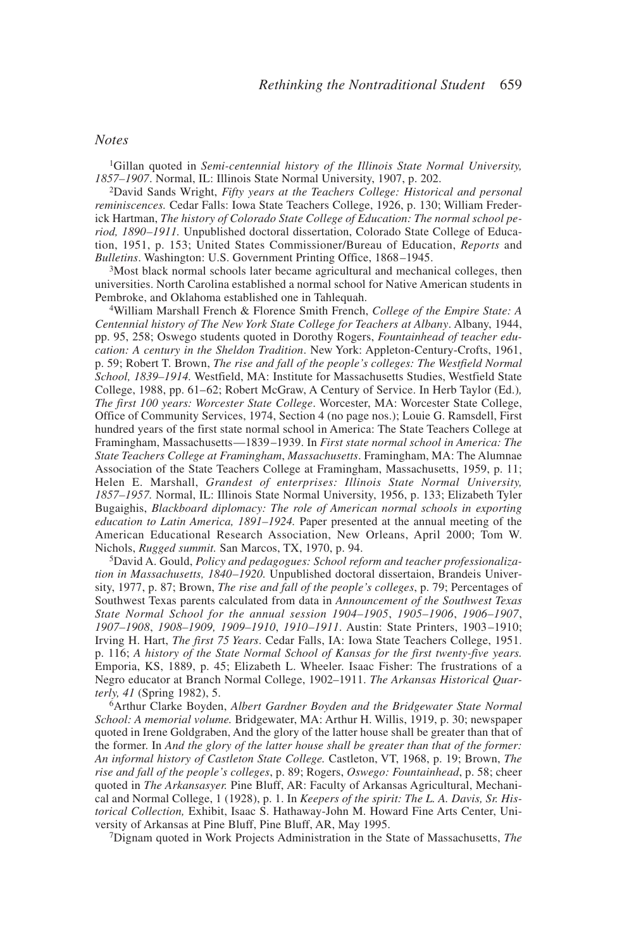## *Notes*

1Gillan quoted in *Semi-centennial history of the Illinois State Normal University, 1857–1907*. Normal, IL: Illinois State Normal University, 1907, p. 202.

2David Sands Wright, *Fifty years at the Teachers College: Historical and personal reminiscences.* Cedar Falls: Iowa State Teachers College, 1926, p. 130; William Frederick Hartman, *The history of Colorado State College of Education: The normal school period, 1890–1911.* Unpublished doctoral dissertation, Colorado State College of Education, 1951, p. 153; United States Commissioner/Bureau of Education, *Reports* and *Bulletins*. Washington: U.S. Government Printing Office, 1868–1945.

<sup>3</sup>Most black normal schools later became agricultural and mechanical colleges, then universities. North Carolina established a normal school for Native American students in Pembroke, and Oklahoma established one in Tahlequah.

4William Marshall French & Florence Smith French, *College of the Empire State: A Centennial history of The New York State College for Teachers at Albany*. Albany, 1944, pp. 95, 258; Oswego students quoted in Dorothy Rogers, *Fountainhead of teacher education: A century in the Sheldon Tradition*. New York: Appleton-Century-Crofts, 1961, p. 59; Robert T. Brown, *The rise and fall of the people's colleges: The Westfield Normal School, 1839–1914.* Westfield, MA: Institute for Massachusetts Studies, Westfield State College, 1988, pp. 61–62; Robert McGraw, A Century of Service. In Herb Taylor (Ed.)*, The first 100 years: Worcester State College*. Worcester, MA: Worcester State College, Office of Community Services, 1974, Section 4 (no page nos.); Louie G. Ramsdell, First hundred years of the first state normal school in America: The State Teachers College at Framingham, Massachusetts—1839–1939. In *First state normal school in America: The State Teachers College at Framingham*, *Massachusetts*. Framingham, MA: The Alumnae Association of the State Teachers College at Framingham, Massachusetts, 1959, p. 11; Helen E. Marshall, *Grandest of enterprises: Illinois State Normal University, 1857–1957.* Normal, IL: Illinois State Normal University, 1956, p. 133; Elizabeth Tyler Bugaighis, *Blackboard diplomacy: The role of American normal schools in exporting education to Latin America, 1891–1924.* Paper presented at the annual meeting of the American Educational Research Association, New Orleans, April 2000; Tom W. Nichols, *Rugged summit.* San Marcos, TX, 1970, p. 94.

5David A. Gould, *Policy and pedagogues: School reform and teacher professionalization in Massachusetts, 1840–1920.* Unpublished doctoral dissertaion, Brandeis University, 1977, p. 87; Brown, *The rise and fall of the people's colleges*, p. 79; Percentages of Southwest Texas parents calculated from data in *Announcement of the Southwest Texas State Normal School for the annual session 1904–1905*, *1905–1906*, *1906–1907*, *1907–1908*, *1908–1909, 1909–1910*, *1910–1911*. Austin: State Printers, 1903–1910; Irving H. Hart, *The first 75 Years*. Cedar Falls, IA: Iowa State Teachers College, 1951. p. 116; *A history of the State Normal School of Kansas for the first twenty-five years.* Emporia, KS, 1889, p. 45; Elizabeth L. Wheeler. Isaac Fisher: The frustrations of a Negro educator at Branch Normal College, 1902–1911. *The Arkansas Historical Quarterly, 41* (Spring 1982), 5.

6Arthur Clarke Boyden, *Albert Gardner Boyden and the Bridgewater State Normal School: A memorial volume.* Bridgewater, MA: Arthur H. Willis, 1919, p. 30; newspaper quoted in Irene Goldgraben, And the glory of the latter house shall be greater than that of the former. In *And the glory of the latter house shall be greater than that of the former: An informal history of Castleton State College.* Castleton, VT, 1968, p. 19; Brown, *The rise and fall of the people's colleges*, p. 89; Rogers, *Oswego: Fountainhead*, p. 58; cheer quoted in *The Arkansasyer.* Pine Bluff, AR: Faculty of Arkansas Agricultural, Mechanical and Normal College, 1 (1928), p. 1. In *Keepers of the spirit: The L. A. Davis, Sr. Historical Collection,* Exhibit, Isaac S. Hathaway-John M. Howard Fine Arts Center, University of Arkansas at Pine Bluff, Pine Bluff, AR, May 1995.

7Dignam quoted in Work Projects Administration in the State of Massachusetts, *The*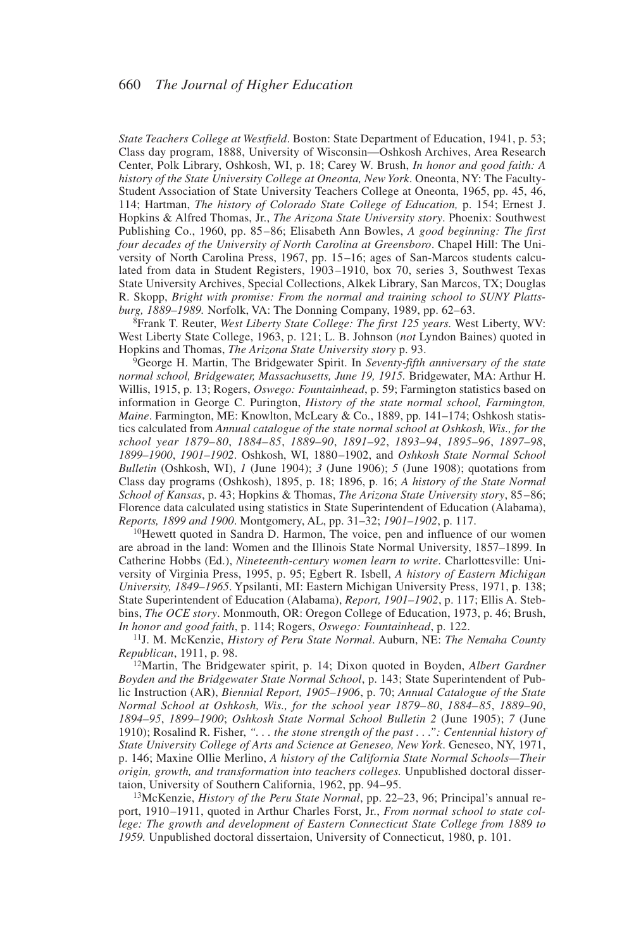*State Teachers College at Westfield*. Boston: State Department of Education, 1941, p. 53; Class day program, 1888, University of Wisconsin—Oshkosh Archives, Area Research Center, Polk Library, Oshkosh, WI, p. 18; Carey W. Brush, *In honor and good faith: A history of the State University College at Oneonta, NewYork*. Oneonta, NY: The Faculty-Student Association of State University Teachers College at Oneonta, 1965, pp. 45, 46, 114; Hartman, *The history of Colorado State College of Education,* p. 154; Ernest J. Hopkins & Alfred Thomas, Jr., *The Arizona State University story*. Phoenix: Southwest Publishing Co., 1960, pp. 85–86; Elisabeth Ann Bowles, *A good beginning: The first four decades of the University of North Carolina at Greensboro*. Chapel Hill: The University of North Carolina Press, 1967, pp. 15–16; ages of San-Marcos students calculated from data in Student Registers, 1903–1910, box 70, series 3, Southwest Texas State University Archives, Special Collections, Alkek Library, San Marcos, TX; Douglas R. Skopp, *Bright with promise: From the normal and training school to SUNY Plattsburg, 1889–1989.* Norfolk, VA: The Donning Company, 1989, pp. 62–63.

8Frank T. Reuter, *West Liberty State College: The first 125 years.* West Liberty, WV: West Liberty State College, 1963, p. 121; L. B. Johnson (*not* Lyndon Baines) quoted in Hopkins and Thomas, *The Arizona State University story* p. 93.

9George H. Martin, The Bridgewater Spirit. In *Seventy-fifth anniversary of the state normal school, Bridgewater, Massachusetts, June 19, 1915.* Bridgewater, MA: Arthur H. Willis, 1915, p. 13; Rogers, *Oswego: Fountainhead*, p. 59; Farmington statistics based on information in George C. Purington, *History of the state normal school, Farmington, Maine*. Farmington, ME: Knowlton, McLeary & Co., 1889, pp. 141–174; Oshkosh statistics calculated from *Annual catalogue of the state normal school at Oshkosh, Wis., for the school year 1879–80*, *1884–85*, *1889–90*, *1891–92*, *1893–94*, *1895–96*, *1897–98*, *1899–1900*, *1901–1902*. Oshkosh, WI, 1880–1902, and *Oshkosh State Normal School Bulletin* (Oshkosh, WI), *1* (June 1904); *3* (June 1906); *5* (June 1908); quotations from Class day programs (Oshkosh), 1895, p. 18; 1896, p. 16; *A history of the State Normal School of Kansas*, p. 43; Hopkins & Thomas, *The Arizona State University story*, 85–86; Florence data calculated using statistics in State Superintendent of Education (Alabama), *Reports, 1899 and 1900*. Montgomery, AL, pp. 31–32; *1901–1902*, p. 117.

10Hewett quoted in Sandra D. Harmon, The voice, pen and influence of our women are abroad in the land: Women and the Illinois State Normal University, 1857–1899. In Catherine Hobbs (Ed.), *Nineteenth-century women learn to write*. Charlottesville: University of Virginia Press, 1995, p. 95; Egbert R. Isbell, *A history of Eastern Michigan University, 1849–1965*. Ypsilanti, MI: Eastern Michigan University Press, 1971, p. 138; State Superintendent of Education (Alabama), *Report, 1901–1902*, p. 117; Ellis A. Stebbins, *The OCE story*. Monmouth, OR: Oregon College of Education, 1973, p. 46; Brush, *In honor and good faith*, p. 114; Rogers, *Oswego: Fountainhead*, p. 122.

11J. M. McKenzie, *History of Peru State Normal*. Auburn, NE: *The Nemaha County Republican*, 1911, p. 98.

12Martin, The Bridgewater spirit, p. 14; Dixon quoted in Boyden, *Albert Gardner Boyden and the Bridgewater State Normal School*, p. 143; State Superintendent of Public Instruction (AR), *Biennial Report, 1905–1906*, p. 70; *Annual Catalogue of the State Normal School at Oshkosh, Wis., for the school year 1879–80*, *1884–85*, *1889–90*, *1894–95*, *1899–1900*; *Oshkosh State Normal School Bulletin 2* (June 1905); *7* (June 1910); Rosalind R. Fisher, *". . . the stone strength of the past . . .": Centennial history of State University College of Arts and Science at Geneseo, New York*. Geneseo, NY, 1971, p. 146; Maxine Ollie Merlino, *A history of the California State Normal Schools—Their origin, growth, and transformation into teachers colleges.* Unpublished doctoral dissertaion, University of Southern California, 1962, pp. 94–95.

13McKenzie, *History of the Peru State Normal*, pp. 22–23, 96; Principal's annual report, 1910–1911, quoted in Arthur Charles Forst, Jr., *From normal school to state college: The growth and development of Eastern Connecticut State College from 1889 to 1959.* Unpublished doctoral dissertaion, University of Connecticut, 1980, p. 101.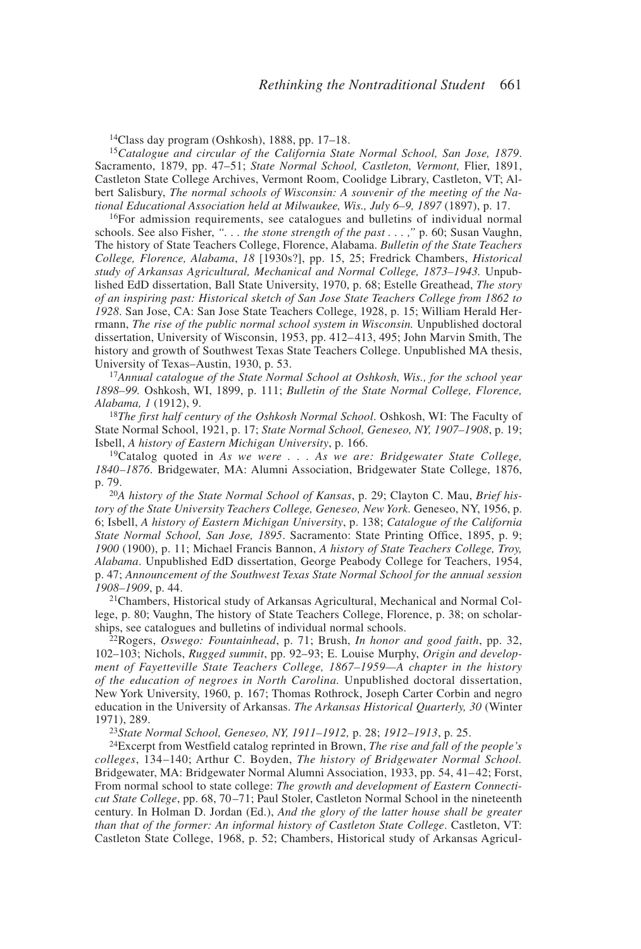$14$ Class day program (Oshkosh), 1888, pp. 17–18.

<sup>15</sup>*Catalogue and circular of the California State Normal School, San Jose, 1879*. Sacramento, 1879, pp. 47–51; *State Normal School, Castleton, Vermont,* Flier, 1891, Castleton State College Archives, Vermont Room, Coolidge Library, Castleton, VT; Albert Salisbury, *The normal schools of Wisconsin: A souvenir of the meeting of the National Educational Association held at Milwaukee, Wis., July 6–9, 1897* (1897), p. 17.

16For admission requirements, see catalogues and bulletins of individual normal schools. See also Fisher, *". . . the stone strength of the past . . . ,"* p. 60; Susan Vaughn, The history of State Teachers College, Florence, Alabama. *Bulletin of the State Teachers College, Florence, Alabama*, *18* [1930s?], pp. 15, 25; Fredrick Chambers, *Historical study of Arkansas Agricultural, Mechanical and Normal College, 1873–1943.* Unpublished EdD dissertation, Ball State University, 1970, p. 68; Estelle Greathead, *The story of an inspiring past: Historical sketch of San Jose State Teachers College from 1862 to 1928*. San Jose, CA: San Jose State Teachers College, 1928, p. 15; William Herald Herrmann, *The rise of the public normal school system in Wisconsin.* Unpublished doctoral dissertation, University of Wisconsin, 1953, pp. 412–413, 495; John Marvin Smith, The history and growth of Southwest Texas State Teachers College. Unpublished MA thesis, University of Texas–Austin, 1930, p. 53.

<sup>17</sup>*Annual catalogue of the State Normal School at Oshkosh, Wis., for the school year 1898–99.* Oshkosh, WI, 1899, p. 111; *Bulletin of the State Normal College, Florence, Alabama, 1* (1912), 9.

<sup>18</sup>*The first half century of the Oshkosh Normal School*. Oshkosh, WI: The Faculty of State Normal School, 1921, p. 17; *State Normal School, Geneseo, NY, 1907–1908*, p. 19; Isbell, *A history of Eastern Michigan University*, p. 166.

19Catalog quoted in *As we were . . . As we are: Bridgewater State College, 1840–1876*. Bridgewater, MA: Alumni Association, Bridgewater State College, 1876, p. 79.

<sup>20</sup>*A history of the State Normal School of Kansas*, p. 29; Clayton C. Mau, *Brief history of the State University Teachers College, Geneseo, NewYork.* Geneseo, NY, 1956, p. 6; Isbell, *A history of Eastern Michigan University*, p. 138; *Catalogue of the California State Normal School, San Jose, 1895*. Sacramento: State Printing Office, 1895, p. 9; *1900* (1900), p. 11; Michael Francis Bannon, *A history of State Teachers College, Troy, Alabama*. Unpublished EdD dissertation, George Peabody College for Teachers, 1954, p. 47; *Announcement of the Southwest Texas State Normal School for the annual session 1908–1909*, p. 44.

21Chambers, Historical study of Arkansas Agricultural, Mechanical and Normal College, p. 80; Vaughn, The history of State Teachers College, Florence, p. 38; on scholarships, see catalogues and bulletins of individual normal schools.

22Rogers, *Oswego: Fountainhead*, p. 71; Brush, *In honor and good faith*, pp. 32, 102–103; Nichols, *Rugged summit*, pp. 92–93; E. Louise Murphy, *Origin and development of Fayetteville State Teachers College, 1867–1959—A chapter in the history of the education of negroes in North Carolina.* Unpublished doctoral dissertation, New York University, 1960, p. 167; Thomas Rothrock, Joseph Carter Corbin and negro education in the University of Arkansas. *The Arkansas Historical Quarterly, 30* (Winter 1971), 289.

<sup>23</sup>*State Normal School, Geneseo, NY, 1911–1912,* p. 28; *1912–1913*, p. 25.

24Excerpt from Westfield catalog reprinted in Brown, *The rise and fall of the people's colleges*, 134–140; Arthur C. Boyden, *The history of Bridgewater Normal School.* Bridgewater, MA: Bridgewater Normal Alumni Association, 1933, pp. 54, 41–42; Forst, From normal school to state college: *The growth and development of Eastern Connecticut State College*, pp. 68, 70–71; Paul Stoler, Castleton Normal School in the nineteenth century. In Holman D. Jordan (Ed.), *And the glory of the latter house shall be greater than that of the former: An informal history of Castleton State College*. Castleton, VT: Castleton State College, 1968, p. 52; Chambers, Historical study of Arkansas Agricul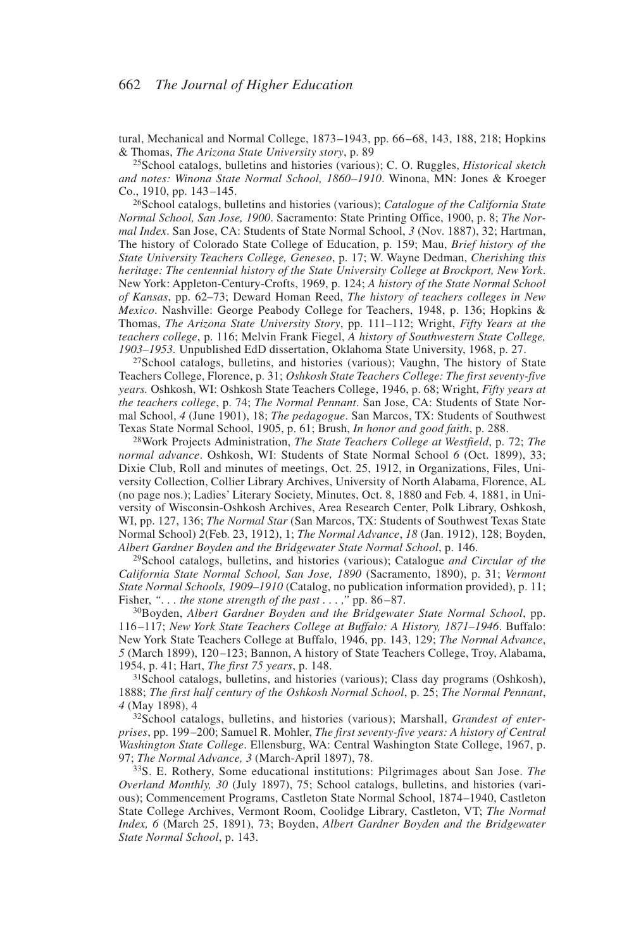tural, Mechanical and Normal College, 1873–1943, pp. 66–68, 143, 188, 218; Hopkins & Thomas, *The Arizona State University story*, p. 89

25School catalogs, bulletins and histories (various); C. O. Ruggles, *Historical sketch and notes: Winona State Normal School, 1860–1910*. Winona, MN: Jones & Kroeger Co., 1910, pp. 143–145.

26School catalogs, bulletins and histories (various); *Catalogue of the California State Normal School, San Jose, 1900*. Sacramento: State Printing Office, 1900, p. 8; *The Normal Index*. San Jose, CA: Students of State Normal School, *3* (Nov. 1887), 32; Hartman, The history of Colorado State College of Education, p. 159; Mau, *Brief history of the State University Teachers College, Geneseo*, p. 17; W. Wayne Dedman, *Cherishing this heritage: The centennial history of the State University College at Brockport, New York*. New York: Appleton-Century-Crofts, 1969, p. 124; *A history of the State Normal School of Kansas*, pp. 62–73; Deward Homan Reed, *The history of teachers colleges in New Mexico*. Nashville: George Peabody College for Teachers, 1948, p. 136; Hopkins & Thomas, *The Arizona State University Story*, pp. 111–112; Wright, *Fifty Years at the teachers college*, p. 116; Melvin Frank Fiegel, *A history of Southwestern State College, 1903–1953.* Unpublished EdD dissertation, Oklahoma State University, 1968, p. 27.

27School catalogs, bulletins, and histories (various); Vaughn, The history of State Teachers College, Florence, p. 31; *Oshkosh State Teachers College: The first seventy-five years.* Oshkosh, WI: Oshkosh State Teachers College, 1946, p. 68; Wright, *Fifty years at the teachers college*, p. 74; *The Normal Pennant*. San Jose, CA: Students of State Normal School, *4* (June 1901), 18; *The pedagogue*. San Marcos, TX: Students of Southwest Texas State Normal School, 1905, p. 61; Brush, *In honor and good faith*, p. 288.

28Work Projects Administration, *The State Teachers College at Westfield*, p. 72; *The normal advance*. Oshkosh, WI: Students of State Normal School *6* (Oct. 1899), 33; Dixie Club, Roll and minutes of meetings, Oct. 25, 1912, in Organizations, Files, University Collection, Collier Library Archives, University of North Alabama, Florence, AL (no page nos.); Ladies' Literary Society, Minutes, Oct. 8, 1880 and Feb. 4, 1881, in University of Wisconsin-Oshkosh Archives, Area Research Center, Polk Library, Oshkosh, WI, pp. 127, 136; *The Normal Star* (San Marcos, TX: Students of Southwest Texas State Normal School) *2*(Feb. 23, 1912), 1; *The Normal Advance*, *18* (Jan. 1912), 128; Boyden, *Albert Gardner Boyden and the Bridgewater State Normal School*, p. 146.

29School catalogs, bulletins, and histories (various); Catalogue *and Circular of the California State Normal School, San Jose, 1890* (Sacramento, 1890), p. 31; *Vermont State Normal Schools, 1909–1910* (Catalog, no publication information provided), p. 11; Fisher, *". . . the stone strength of the past . . . ,"* pp. 86–87.

30Boyden, *Albert Gardner Boyden and the Bridgewater State Normal School*, pp. 116–117; *New York State Teachers College at Buffalo: A History, 1871–1946*. Buffalo: New York State Teachers College at Buffalo, 1946, pp. 143, 129; *The Normal Advance*, *5* (March 1899), 120–123; Bannon, A history of State Teachers College, Troy, Alabama, 1954, p. 41; Hart, *The first 75 years*, p. 148.

31School catalogs, bulletins, and histories (various); Class day programs (Oshkosh), 1888; *The first half century of the Oshkosh Normal School*, p. 25; *The Normal Pennant*, *4* (May 1898), 4

32School catalogs, bulletins, and histories (various); Marshall, *Grandest of enterprises*, pp. 199–200; Samuel R. Mohler, *The first seventy-five years: A history of Central Washington State College*. Ellensburg, WA: Central Washington State College, 1967, p. 97; *The Normal Advance, 3* (March-April 1897), 78.

33S. E. Rothery, Some educational institutions: Pilgrimages about San Jose. *The Overland Monthly, 30* (July 1897), 75; School catalogs, bulletins, and histories (various); Commencement Programs, Castleton State Normal School, 1874–1940, Castleton State College Archives, Vermont Room, Coolidge Library, Castleton, VT; *The Normal Index, 6* (March 25, 1891), 73; Boyden, *Albert Gardner Boyden and the Bridgewater State Normal School*, p. 143.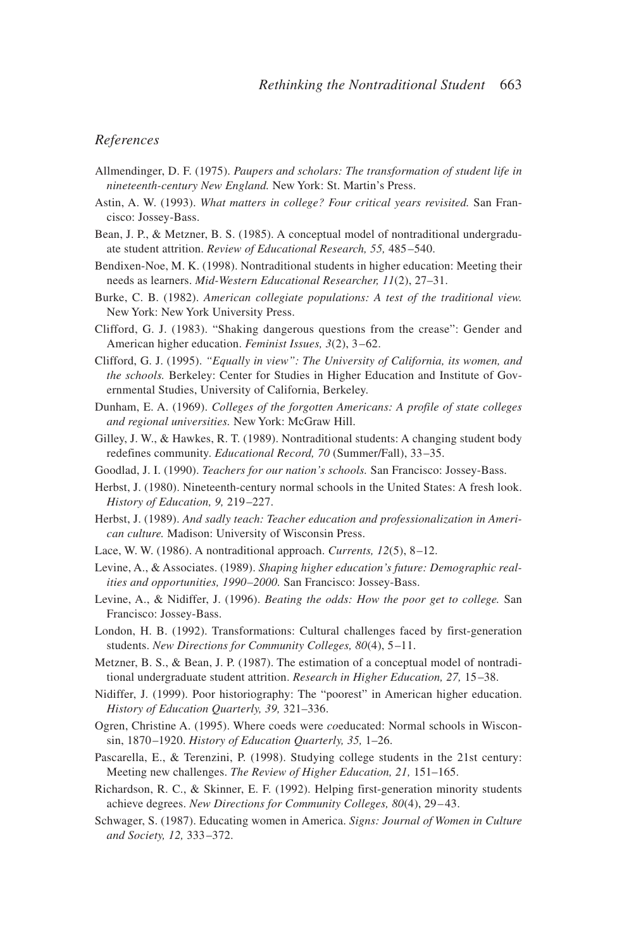### *References*

- Allmendinger, D. F. (1975). *Paupers and scholars: The transformation of student life in nineteenth-century New England.* New York: St. Martin's Press.
- Astin, A. W. (1993). *What matters in college? Four critical years revisited.* San Francisco: Jossey-Bass.
- Bean, J. P., & Metzner, B. S. (1985). A conceptual model of nontraditional undergraduate student attrition. *Review of Educational Research, 55,* 485–540.
- Bendixen-Noe, M. K. (1998). Nontraditional students in higher education: Meeting their needs as learners. *Mid-Western Educational Researcher, 11*(2), 27–31.
- Burke, C. B. (1982). *American collegiate populations: A test of the traditional view.* New York: New York University Press.
- Clifford, G. J. (1983). "Shaking dangerous questions from the crease": Gender and American higher education. *Feminist Issues, 3*(2), 3–62.
- Clifford, G. J. (1995). *"Equally in view": The University of California, its women, and the schools.* Berkeley: Center for Studies in Higher Education and Institute of Governmental Studies, University of California, Berkeley.
- Dunham, E. A. (1969). *Colleges of the forgotten Americans: A profile of state colleges and regional universities.* New York: McGraw Hill.
- Gilley, J. W., & Hawkes, R. T. (1989). Nontraditional students: A changing student body redefines community. *Educational Record, 70* (Summer/Fall), 33–35.
- Goodlad, J. I. (1990). *Teachers for our nation's schools.* San Francisco: Jossey-Bass.
- Herbst, J. (1980). Nineteenth-century normal schools in the United States: A fresh look. *History of Education, 9,* 219–227.
- Herbst, J. (1989). *And sadly teach: Teacher education and professionalization in American culture.* Madison: University of Wisconsin Press.
- Lace, W. W. (1986). A nontraditional approach. *Currents, 12*(5), 8–12.
- Levine, A., & Associates. (1989). *Shaping higher education's future: Demographic realities and opportunities, 1990–2000.* San Francisco: Jossey-Bass.
- Levine, A., & Nidiffer, J. (1996). *Beating the odds: How the poor get to college.* San Francisco: Jossey-Bass.
- London, H. B. (1992). Transformations: Cultural challenges faced by first-generation students. *New Directions for Community Colleges, 80*(4), 5–11.
- Metzner, B. S., & Bean, J. P. (1987). The estimation of a conceptual model of nontraditional undergraduate student attrition. *Research in Higher Education, 27,* 15–38.
- Nidiffer, J. (1999). Poor historiography: The "poorest" in American higher education. *History of Education Quarterly, 39,* 321–336.
- Ogren, Christine A. (1995). Where coeds were *co*educated: Normal schools in Wisconsin, 1870–1920. *History of Education Quarterly, 35,* 1–26.
- Pascarella, E., & Terenzini, P. (1998). Studying college students in the 21st century: Meeting new challenges. *The Review of Higher Education, 21,* 151–165.
- Richardson, R. C., & Skinner, E. F. (1992). Helping first-generation minority students achieve degrees. *New Directions for Community Colleges, 80*(4), 29–43.
- Schwager, S. (1987). Educating women in America. *Signs: Journal of Women in Culture and Society, 12,* 333–372.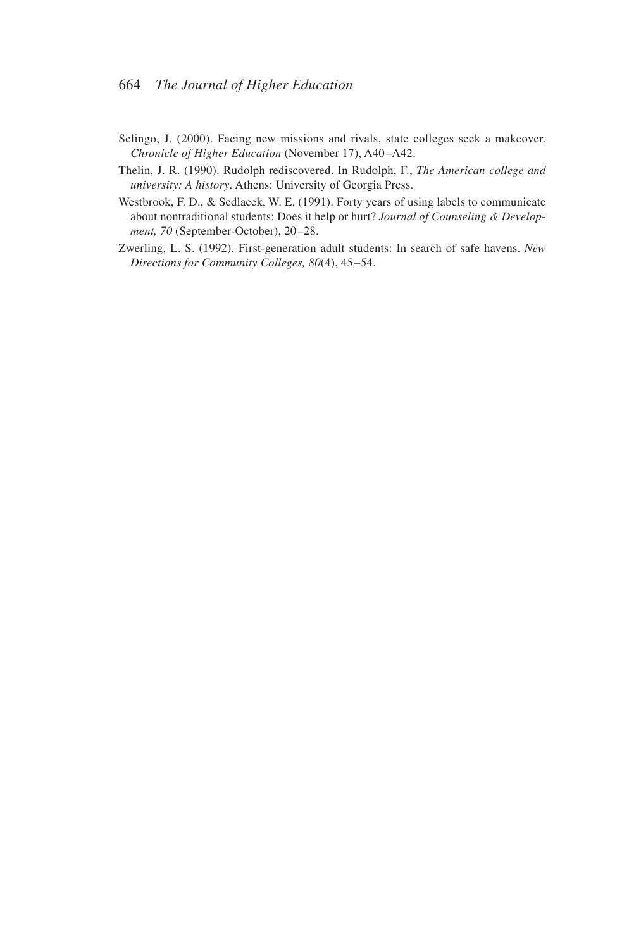- Selingo, J. (2000). Facing new missions and rivals, state colleges seek a makeover. *Chronicle of Higher Education* (November 17), A40–A42.
- Thelin, J. R. (1990). Rudolph rediscovered. In Rudolph, F., *The American college and university: A history*. Athens: University of Georgia Press.
- Westbrook, F. D., & Sedlacek, W. E. (1991). Forty years of using labels to communicate about nontraditional students: Does it help or hurt? *Journal of Counseling & Development, 70* (September-October), 20–28.
- Zwerling, L. S. (1992). First-generation adult students: In search of safe havens. *New Directions for Community Colleges, 80*(4), 45–54.